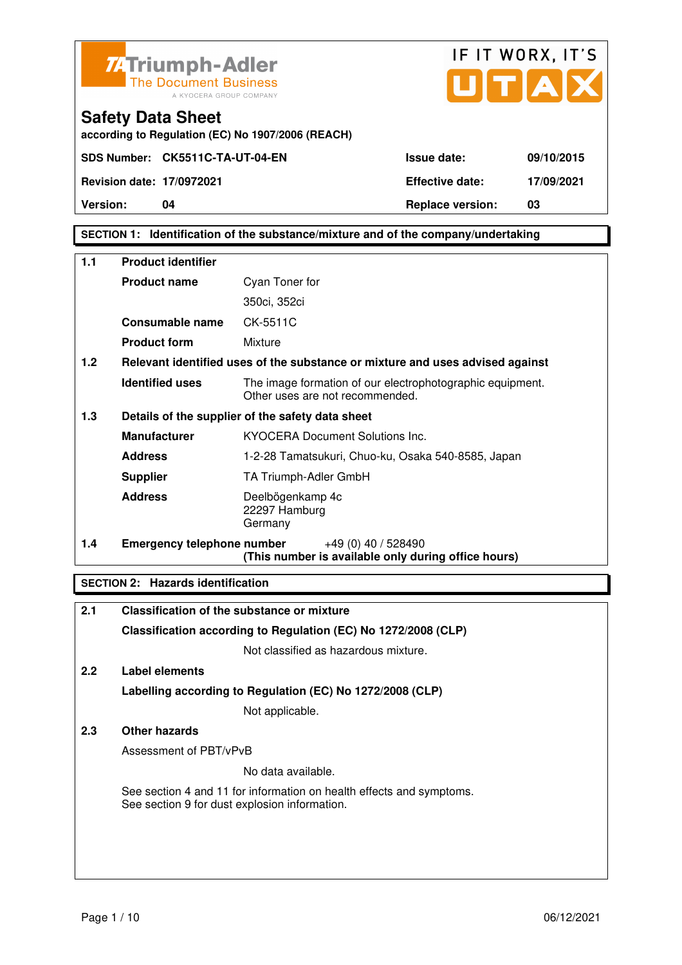



**according to Regulation (EC) No 1907/2006 (REACH)**

## **SECTION 1: Identification of the substance/mixture and of the company/undertaking**

| 1.1                                                     | <b>Product identifier</b>         |                                                                                              |
|---------------------------------------------------------|-----------------------------------|----------------------------------------------------------------------------------------------|
|                                                         | <b>Product name</b>               | Cyan Toner for                                                                               |
|                                                         |                                   | 350ci, 352ci                                                                                 |
|                                                         | Consumable name                   | CK-5511C                                                                                     |
|                                                         | <b>Product form</b>               | Mixture                                                                                      |
| 1.2                                                     |                                   | Relevant identified uses of the substance or mixture and uses advised against                |
|                                                         | <b>Identified uses</b>            | The image formation of our electrophotographic equipment.<br>Other uses are not recommended. |
| 1.3<br>Details of the supplier of the safety data sheet |                                   |                                                                                              |
|                                                         | <b>Manufacturer</b>               | <b>KYOCERA Document Solutions Inc.</b>                                                       |
|                                                         | <b>Address</b>                    | 1-2-28 Tamatsukuri, Chuo-ku, Osaka 540-8585, Japan                                           |
|                                                         | <b>Supplier</b>                   | TA Triumph-Adler GmbH                                                                        |
|                                                         | <b>Address</b>                    | Deelbögenkamp 4c<br>22297 Hamburg<br>Germany                                                 |
| 1.4                                                     | <b>Emergency telephone number</b> | +49 (0) 40 / 528490<br>(This number is available only during office hours)                   |

## **SECTION 2: Hazards identification**

| 2.1           | <b>Classification of the substance or mixture</b>                                                                     |
|---------------|-----------------------------------------------------------------------------------------------------------------------|
|               | Classification according to Regulation (EC) No 1272/2008 (CLP)                                                        |
|               | Not classified as hazardous mixture.                                                                                  |
| $2.2^{\circ}$ | Label elements                                                                                                        |
|               | Labelling according to Regulation (EC) No 1272/2008 (CLP)                                                             |
|               | Not applicable.                                                                                                       |
| 2.3           | Other hazards                                                                                                         |
|               | Assessment of PBT/vPvB                                                                                                |
|               | No data available.                                                                                                    |
|               | See section 4 and 11 for information on health effects and symptoms.<br>See section 9 for dust explosion information. |
|               |                                                                                                                       |
|               |                                                                                                                       |
|               |                                                                                                                       |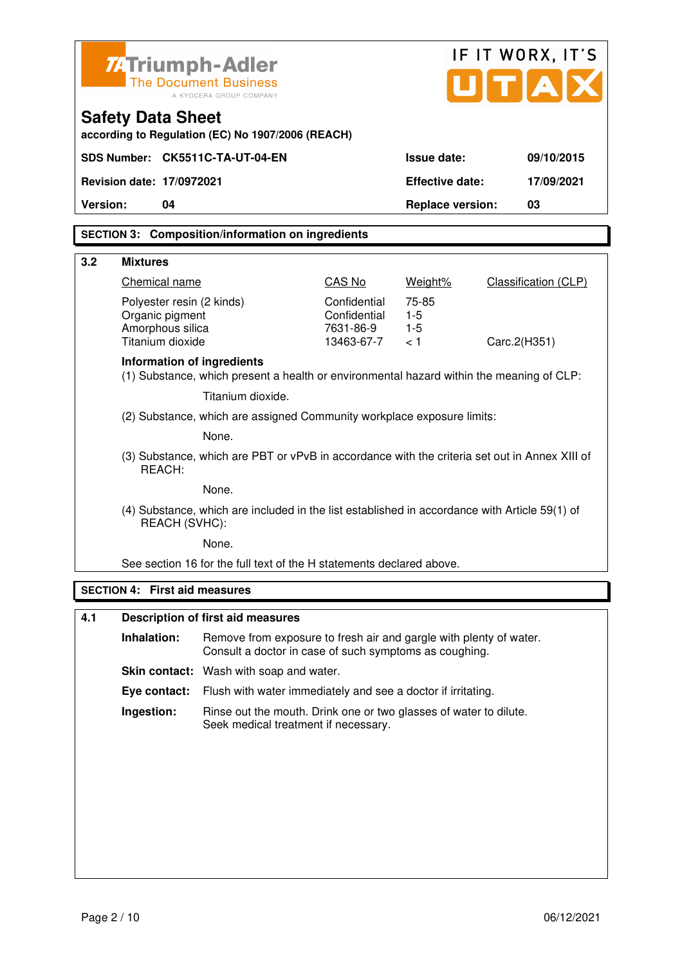|                 | IF IT WORX, IT'S<br><b>74 Triumph-Adler</b><br>TIA<br><b>The Document Business</b><br>A KYOCERA GROUP COMPANY |                                                                                                                              |                              |                         |                      |
|-----------------|---------------------------------------------------------------------------------------------------------------|------------------------------------------------------------------------------------------------------------------------------|------------------------------|-------------------------|----------------------|
|                 | <b>Safety Data Sheet</b><br>according to Regulation (EC) No 1907/2006 (REACH)                                 |                                                                                                                              |                              |                         |                      |
|                 |                                                                                                               | SDS Number: CK5511C-TA-UT-04-EN                                                                                              |                              | Issue date:             | 09/10/2015           |
|                 | <b>Revision date: 17/0972021</b>                                                                              |                                                                                                                              |                              | <b>Effective date:</b>  | 17/09/2021           |
| <b>Version:</b> | 04                                                                                                            |                                                                                                                              |                              | <b>Replace version:</b> | 03                   |
|                 |                                                                                                               | <b>SECTION 3: Composition/information on ingredients</b>                                                                     |                              |                         |                      |
| 3.2             | <b>Mixtures</b>                                                                                               |                                                                                                                              |                              |                         |                      |
|                 | Chemical name                                                                                                 |                                                                                                                              | CAS No                       | Weight%                 | Classification (CLP) |
|                 | Polyester resin (2 kinds)<br>Organic pigment                                                                  |                                                                                                                              | Confidential<br>Confidential | 75-85<br>$1-5$          |                      |
|                 | Amorphous silica<br>Titanium dioxide                                                                          |                                                                                                                              | 7631-86-9<br>13463-67-7      | $1 - 5$<br>< 1          | Carc.2(H351)         |
|                 | Information of ingredients                                                                                    | (1) Substance, which present a health or environmental hazard within the meaning of CLP:                                     |                              |                         |                      |
|                 |                                                                                                               | Titanium dioxide.                                                                                                            |                              |                         |                      |
|                 | (2) Substance, which are assigned Community workplace exposure limits:                                        |                                                                                                                              |                              |                         |                      |
|                 | None.                                                                                                         |                                                                                                                              |                              |                         |                      |
|                 | REACH:                                                                                                        | (3) Substance, which are PBT or vPvB in accordance with the criteria set out in Annex XIII of                                |                              |                         |                      |
|                 | None.                                                                                                         |                                                                                                                              |                              |                         |                      |
|                 | REACH (SVHC):                                                                                                 | (4) Substance, which are included in the list established in accordance with Article 59(1) of                                |                              |                         |                      |
|                 |                                                                                                               | None.                                                                                                                        |                              |                         |                      |
|                 |                                                                                                               | See section 16 for the full text of the H statements declared above.                                                         |                              |                         |                      |
|                 | <b>SECTION 4: First aid measures</b>                                                                          |                                                                                                                              |                              |                         |                      |
| 4.1             |                                                                                                               | <b>Description of first aid measures</b>                                                                                     |                              |                         |                      |
|                 | Inhalation:                                                                                                   | Remove from exposure to fresh air and gargle with plenty of water.<br>Consult a doctor in case of such symptoms as coughing. |                              |                         |                      |
|                 |                                                                                                               | Skin contact: Wash with soap and water.                                                                                      |                              |                         |                      |
|                 | Eye contact:                                                                                                  | Flush with water immediately and see a doctor if irritating.                                                                 |                              |                         |                      |
|                 | Ingestion:                                                                                                    | Rinse out the mouth. Drink one or two glasses of water to dilute.<br>Seek medical treatment if necessary.                    |                              |                         |                      |
|                 |                                                                                                               |                                                                                                                              |                              |                         |                      |
|                 |                                                                                                               |                                                                                                                              |                              |                         |                      |
|                 |                                                                                                               |                                                                                                                              |                              |                         |                      |
|                 |                                                                                                               |                                                                                                                              |                              |                         |                      |
|                 |                                                                                                               |                                                                                                                              |                              |                         |                      |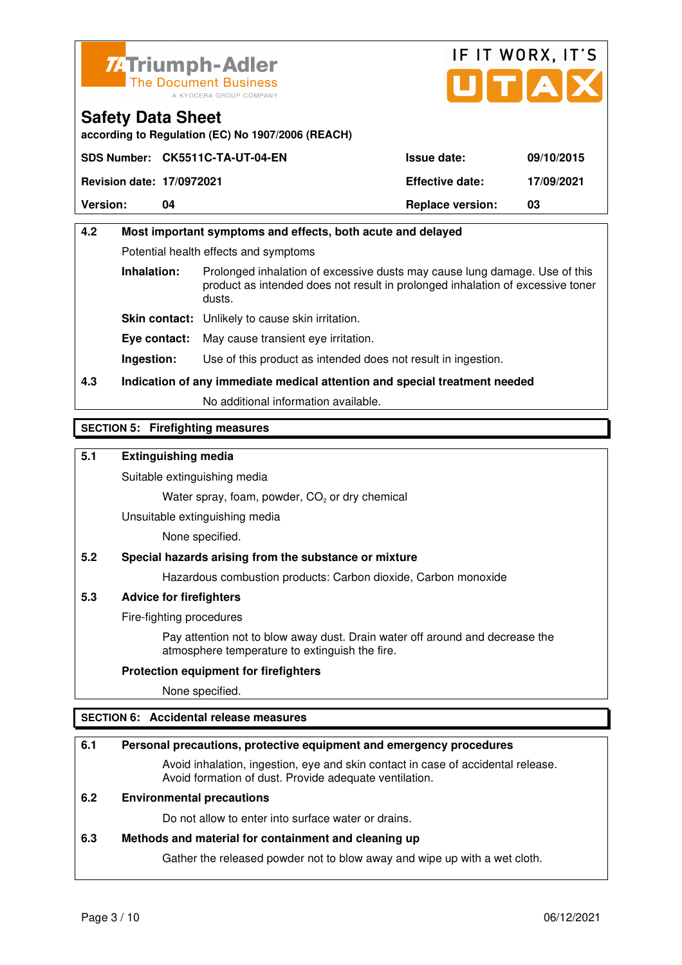



**according to Regulation (EC) No 1907/2006 (REACH)**

|                                  | SDS Number: CK5511C-TA-UT-04-EN | <b>Issue date:</b>      | 09/10/2015 |
|----------------------------------|---------------------------------|-------------------------|------------|
| <b>Revision date: 17/0972021</b> |                                 | <b>Effective date:</b>  | 17/09/2021 |
| <b>Version:</b>                  | 04                              | <b>Replace version:</b> | 03         |

## **4.2 Most important symptoms and effects, both acute and delayed**  Potential health effects and symptoms **Inhalation:** Prolonged inhalation of excessive dusts may cause lung damage. Use of this product as intended does not result in prolonged inhalation of excessive toner dusts. **Skin contact:** Unlikely to cause skin irritation. **Eye contact:** May cause transient eye irritation. **Ingestion:** Use of this product as intended does not result in ingestion.

**4.3 Indication of any immediate medical attention and special treatment needed** 

No additional information available.

## **SECTION 5: Firefighting measures**

## **5.1 Extinguishing media**

Suitable extinguishing media

Water spray, foam, powder,  $CO<sub>2</sub>$  or dry chemical

Unsuitable extinguishing media

None specified.

## **5.2 Special hazards arising from the substance or mixture**

Hazardous combustion products: Carbon dioxide, Carbon monoxide

## **5.3 Advice for firefighters**

Fire-fighting procedures

 Pay attention not to blow away dust. Drain water off around and decrease the atmosphere temperature to extinguish the fire.

## **Protection equipment for firefighters**

None specified.

## **SECTION 6: Accidental release measures**

## **6.1 Personal precautions, protective equipment and emergency procedures**

 Avoid inhalation, ingestion, eye and skin contact in case of accidental release. Avoid formation of dust. Provide adequate ventilation.

## **6.2 Environmental precautions**

Do not allow to enter into surface water or drains.

#### **6.3 Methods and material for containment and cleaning up**

Gather the released powder not to blow away and wipe up with a wet cloth.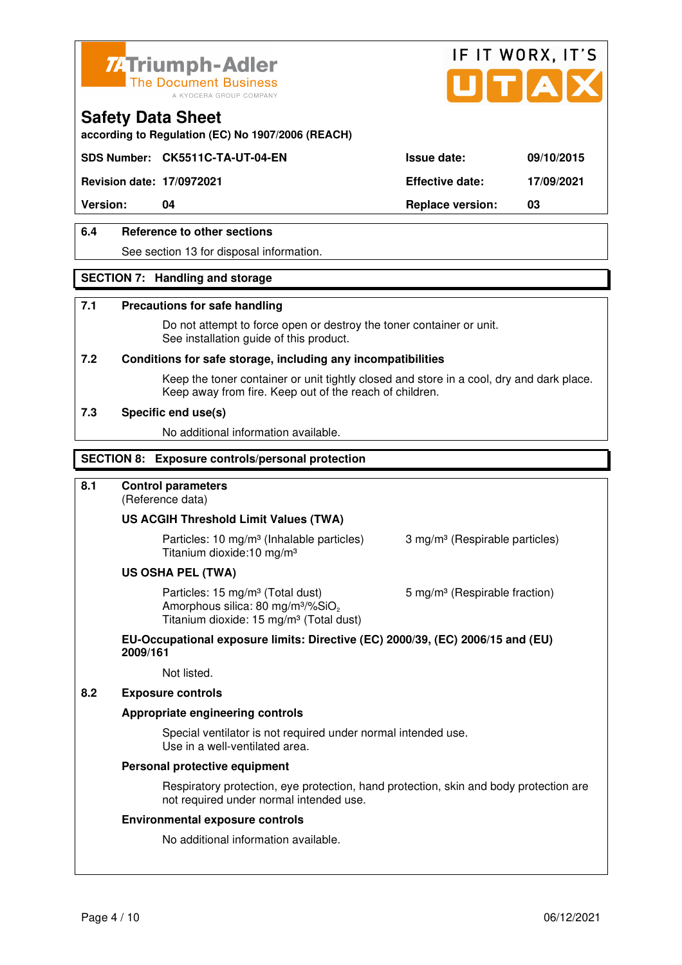



**according to Regulation (EC) No 1907/2006 (REACH)**

## **SDS Number: CK5511C-TA-UT-04-EN Issue date: 09/10/2015**

**Revision date: 17/0972021 Effective date: 17/09/2021** 

**Version: 04 Replace version: 03** 

## **6.4 Reference to other sections**

See section 13 for disposal information.

## **SECTION 7: Handling and storage**

#### **7.1 Precautions for safe handling**

 Do not attempt to force open or destroy the toner container or unit. See installation guide of this product.

#### **7.2 Conditions for safe storage, including any incompatibilities**

Keep the toner container or unit tightly closed and store in a cool, dry and dark place. Keep away from fire. Keep out of the reach of children.

#### **7.3 Specific end use(s)**

No additional information available.

#### **SECTION 8: Exposure controls/personal protection**

## **8.1 Control parameters**

(Reference data)

#### **US ACGIH Threshold Limit Values (TWA)**

**Particles: 10 mg/m<sup>3</sup> (Inhalable particles) 3 mg/m<sup>3</sup> (Respirable particles)** Titanium dioxide:10 mg/m³

#### **US OSHA PEL (TWA)**

Particles: 15 mg/m<sup>3</sup> (Total dust) 5 mg/m<sup>3</sup> (Respirable fraction) Amorphous silica:  $80 \text{ mg/m}^3/\% \text{SiO}_2$ Titanium dioxide: 15 mg/m<sup>3</sup> (Total dust)

#### **EU-Occupational exposure limits: Directive (EC) 2000/39, (EC) 2006/15 and (EU) 2009/161**

Not listed.

### **8.2 Exposure controls**

#### **Appropriate engineering controls**

 Special ventilator is not required under normal intended use. Use in a well-ventilated area.

#### **Personal protective equipment**

 Respiratory protection, eye protection, hand protection, skin and body protection are not required under normal intended use.

#### **Environmental exposure controls**

No additional information available.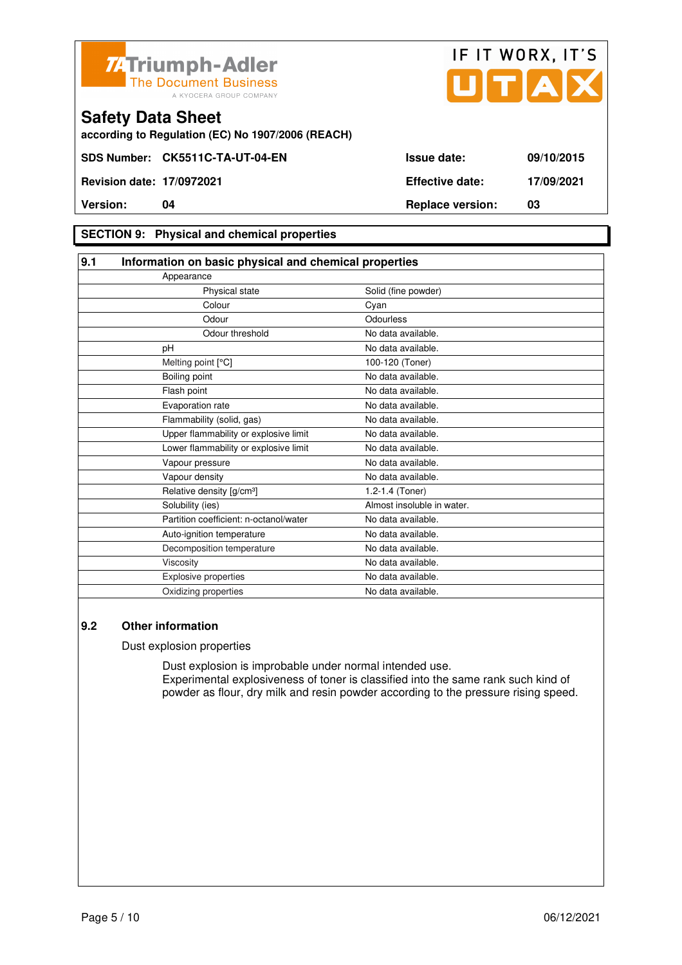



**according to Regulation (EC) No 1907/2006 (REACH)**

## **SECTION 9: Physical and chemical properties**

| 9.1                                    | Information on basic physical and chemical properties |  |
|----------------------------------------|-------------------------------------------------------|--|
| Appearance                             |                                                       |  |
| Physical state                         | Solid (fine powder)                                   |  |
| Colour                                 | Cyan                                                  |  |
| Odour                                  | Odourless                                             |  |
| Odour threshold                        | No data available.                                    |  |
| pH                                     | No data available.                                    |  |
| Melting point [°C]                     | 100-120 (Toner)                                       |  |
| Boiling point                          | No data available.                                    |  |
| Flash point                            | No data available.                                    |  |
| Evaporation rate                       | No data available.                                    |  |
| Flammability (solid, gas)              | No data available.                                    |  |
| Upper flammability or explosive limit  | No data available.                                    |  |
| Lower flammability or explosive limit  | No data available.                                    |  |
| Vapour pressure                        | No data available.                                    |  |
| Vapour density                         | No data available.                                    |  |
| Relative density [g/cm <sup>3</sup> ]  | 1.2-1.4 (Toner)                                       |  |
| Solubility (ies)                       | Almost insoluble in water.                            |  |
| Partition coefficient: n-octanol/water | No data available.                                    |  |
| Auto-ignition temperature              | No data available.                                    |  |
| Decomposition temperature              | No data available.                                    |  |
| Viscosity                              | No data available.                                    |  |
| <b>Explosive properties</b>            | No data available.                                    |  |
| Oxidizing properties                   | No data available.                                    |  |

## **9.2 Other information**

Dust explosion properties

 Dust explosion is improbable under normal intended use. Experimental explosiveness of toner is classified into the same rank such kind of powder as flour, dry milk and resin powder according to the pressure rising speed.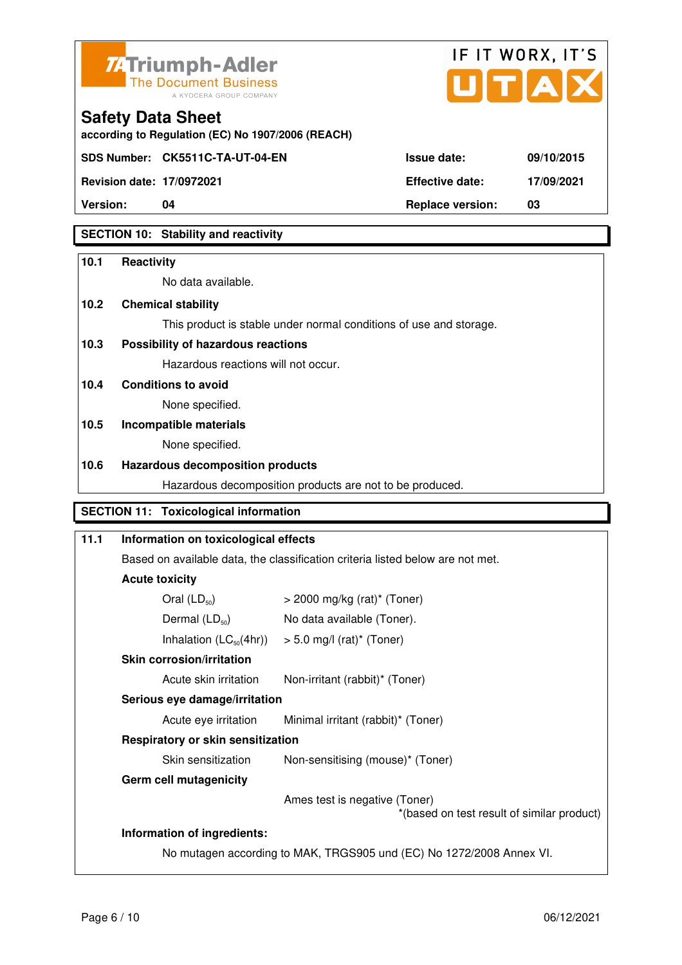



**according to Regulation (EC) No 1907/2006 (REACH)**

**SDS Number: CK5511C-TA-UT-04-EN** 

**Safety Data Sheet** 

| <b>Version:</b>                  | 04                               | <b>Replace version:</b> | 03         |
|----------------------------------|----------------------------------|-------------------------|------------|
| <b>Revision date: 17/0972021</b> |                                  | <b>Effective date:</b>  | 17/09/2021 |
|                                  | SDS Number: CK5511C-TA-UT-04-EN_ | <b>Issue date:</b>      | 09/10/2015 |

## **SECTION 10: Stability and reactivity**

## **10.1 Reactivity**

No data available.

## **10.2 Chemical stability**

This product is stable under normal conditions of use and storage.

## **10.3 Possibility of hazardous reactions**

Hazardous reactions will not occur.

**10.4 Conditions to avoid** 

None specified.

## **10.5 Incompatible materials**

None specified.

## **10.6 Hazardous decomposition products**

Hazardous decomposition products are not to be produced.

## **SECTION 11: Toxicological information**

## **11.1 Information on toxicological effects**  Based on available data, the classification criteria listed below are not met. **Acute toxicity**  Oral  $(LD_{50})$   $>$  2000 mg/kg (rat)<sup>\*</sup> (Toner) Dermal  $(LD_{50})$  No data available (Toner). Inhalation  $(LC_{50}(4hr))$  > 5.0 mg/l (rat)\* (Toner)  **Skin corrosion/irritation** Acute skin irritation Non-irritant (rabbit)\* (Toner)  **Serious eye damage/irritation** Acute eye irritation Minimal irritant (rabbit)\* (Toner)  **Respiratory or skin sensitization**  Skin sensitization Mon-sensitising (mouse)\* (Toner)  **Germ cell mutagenicity** Ames test is negative (Toner) \*(based on test result of similar product) **Information of ingredients:**  No mutagen according to MAK, TRGS905 und (EC) No 1272/2008 Annex VI.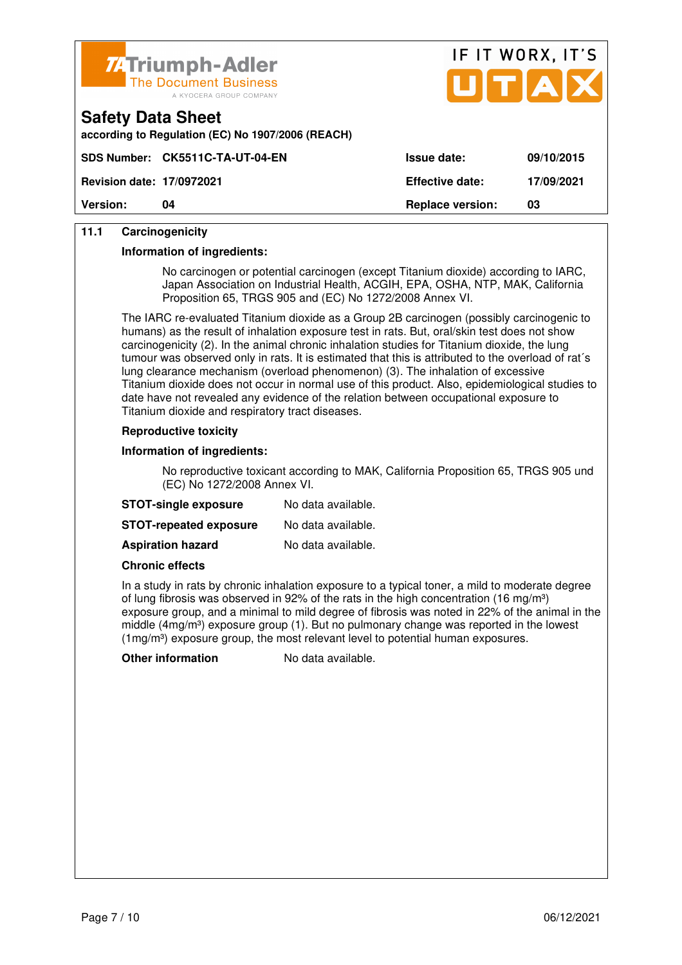

**according to Regulation (EC) No 1907/2006 (REACH)**



| <b>Version:</b>                  | 04                               | <b>Replace version:</b> | 03         |
|----------------------------------|----------------------------------|-------------------------|------------|
| <b>Revision date: 17/0972021</b> |                                  | <b>Effective date:</b>  | 17/09/2021 |
|                                  | SDS Number: CK5511C-TA-UT-04-EN_ | <b>Issue date:</b>      | 09/10/2015 |

## **11.1 Carcinogenicity**

**Safety Data Sheet** 

#### **Information of ingredients:**

 No carcinogen or potential carcinogen (except Titanium dioxide) according to IARC, Japan Association on Industrial Health, ACGIH, EPA, OSHA, NTP, MAK, California Proposition 65, TRGS 905 and (EC) No 1272/2008 Annex VI.

 The IARC re-evaluated Titanium dioxide as a Group 2B carcinogen (possibly carcinogenic to humans) as the result of inhalation exposure test in rats. But, oral/skin test does not show carcinogenicity (2). In the animal chronic inhalation studies for Titanium dioxide, the lung tumour was observed only in rats. It is estimated that this is attributed to the overload of rat´s lung clearance mechanism (overload phenomenon) (3). The inhalation of excessive Titanium dioxide does not occur in normal use of this product. Also, epidemiological studies to date have not revealed any evidence of the relation between occupational exposure to Titanium dioxide and respiratory tract diseases.

#### **Reproductive toxicity**

#### **Information of ingredients:**

 No reproductive toxicant according to MAK, California Proposition 65, TRGS 905 und (EC) No 1272/2008 Annex VI.

| <b>STOT-single exposure</b>   | No data available. |
|-------------------------------|--------------------|
| <b>STOT-repeated exposure</b> | No data available. |
| <b>Aspiration hazard</b>      | No data available. |

#### **Chronic effects**

 In a study in rats by chronic inhalation exposure to a typical toner, a mild to moderate degree of lung fibrosis was observed in 92% of the rats in the high concentration (16 mg/m<sup>3</sup>) exposure group, and a minimal to mild degree of fibrosis was noted in 22% of the animal in the middle (4mg/m<sup>3</sup>) exposure group (1). But no pulmonary change was reported in the lowest  $(1 \text{mg/m}^3)$  exposure group, the most relevant level to potential human exposures.

**Other information** No data available.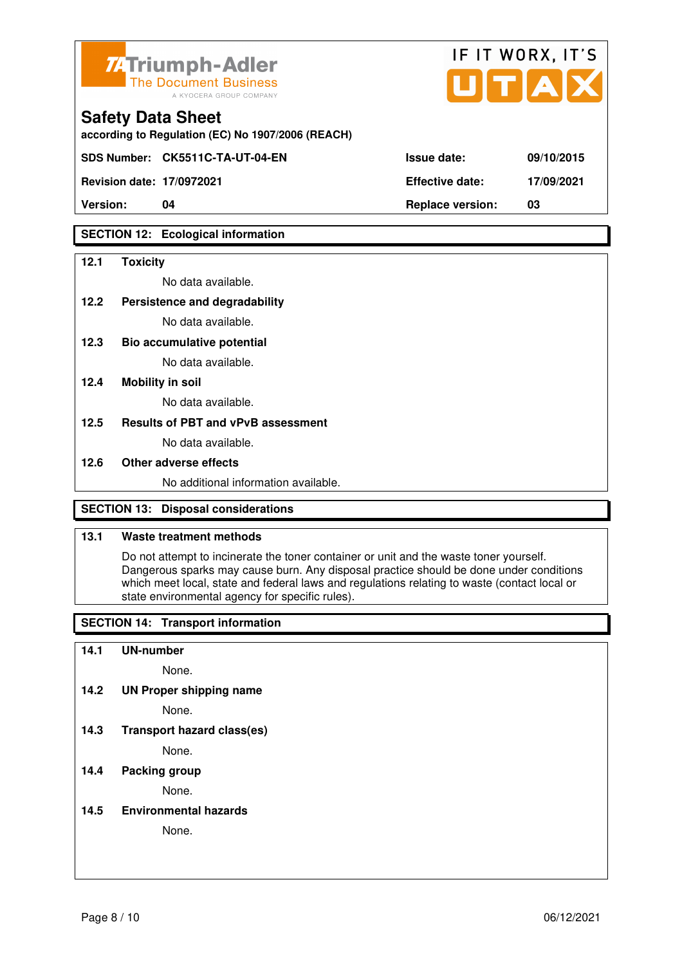

| <b>7/ Triumph-Adler</b><br>The Document Business<br>A KYOCERA GROUP COMPANY   |                        | IF IT WORX, IT'S<br>UTAX |
|-------------------------------------------------------------------------------|------------------------|--------------------------|
| <b>Safety Data Sheet</b><br>according to Regulation (EC) No 1907/2006 (REACH) |                        |                          |
| SDS Number: CK5511C-TA-UT-04-EN                                               | Issue date:            | 09/10/2015               |
| <b>Revision date: 17/0972021</b>                                              | <b>Effective date:</b> | 17/09/2021               |

**Version: 04 Replace version: 03** 

## **SECTION 12: Ecological information**

#### **12.1 Toxicity**

No data available.

#### **12.2 Persistence and degradability**

No data available.

**12.3 Bio accumulative potential** 

No data available.

### **12.4 Mobility in soil**

No data available.

## **12.5 Results of PBT and vPvB assessment**

No data available.

#### **12.6 Other adverse effects**

No additional information available.

## **SECTION 13: Disposal considerations**

## **13.1 Waste treatment methods**

 Do not attempt to incinerate the toner container or unit and the waste toner yourself. Dangerous sparks may cause burn. Any disposal practice should be done under conditions which meet local, state and federal laws and regulations relating to waste (contact local or state environmental agency for specific rules).

## **SECTION 14: Transport information**

#### **14.1 UN-number**

None.

**14.2 UN Proper shipping name** 

None.

**14.3 Transport hazard class(es)** 

None.

## **14.4 Packing group**

None.

## **14.5 Environmental hazards**

None.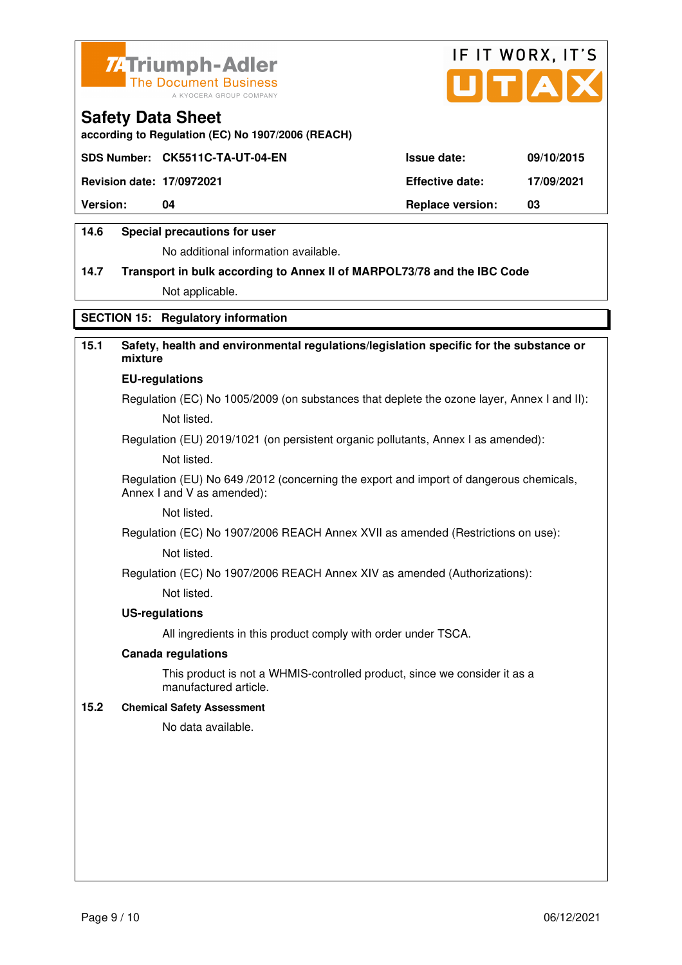



**according to Regulation (EC) No 1907/2006 (REACH)**

|                                  | SDS Number: CK5511C-TA-UT-04-EN | <b>Issue date:</b>      | 09/10/2015 |
|----------------------------------|---------------------------------|-------------------------|------------|
| <b>Revision date: 17/0972021</b> |                                 | <b>Effective date:</b>  | 17/09/2021 |
| <b>Version:</b>                  | 04                              | <b>Replace version:</b> | 03         |
|                                  |                                 |                         |            |

## **14.6 Special precautions for user**

No additional information available.

# **14.7 Transport in bulk according to Annex II of MARPOL73/78 and the IBC Code**

Not applicable.

## **SECTION 15: Regulatory information**

## **15.1 Safety, health and environmental regulations/legislation specific for the substance or mixture**

#### **EU-regulations**

Regulation (EC) No 1005/2009 (on substances that deplete the ozone layer, Annex I and II): Not listed.

Regulation (EU) 2019/1021 (on persistent organic pollutants, Annex I as amended):

Not listed.

 Regulation (EU) No 649 /2012 (concerning the export and import of dangerous chemicals, Annex I and V as amended):

Not listed.

 Regulation (EC) No 1907/2006 REACH Annex XVII as amended (Restrictions on use): Not listed.

Regulation (EC) No 1907/2006 REACH Annex XIV as amended (Authorizations):

Not listed.

#### **US-regulations**

All ingredients in this product comply with order under TSCA.

#### **Canada regulations**

 This product is not a WHMIS-controlled product, since we consider it as a manufactured article.

### **15.2 Chemical Safety Assessment**

No data available.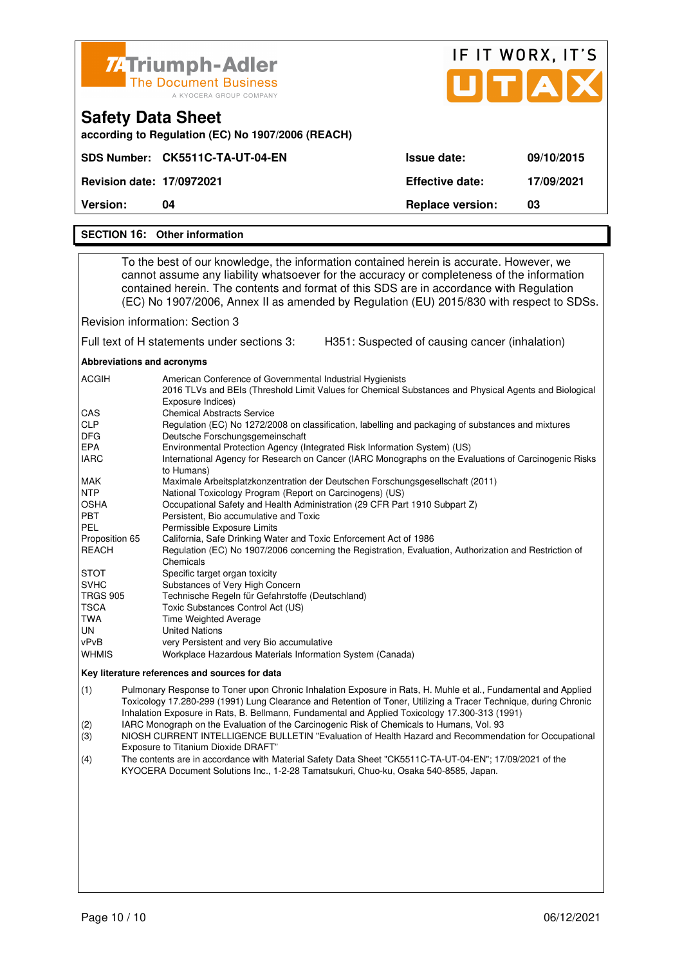| ZATriumph-Adler<br><b>The Document Business</b><br>A KYOCERA GROUP COMPANY    |                         | IF IT WORX, IT'S<br>UTAX |
|-------------------------------------------------------------------------------|-------------------------|--------------------------|
| <b>Safety Data Sheet</b><br>according to Regulation (EC) No 1907/2006 (REACH) |                         |                          |
| SDS Number: CK5511C-TA-UT-04-EN                                               | <b>Issue date:</b>      | 09/10/2015               |
| <b>Revision date: 17/0972021</b>                                              | <b>Effective date:</b>  | 17/09/2021               |
| <b>Version:</b><br>04                                                         | <b>Replace version:</b> | 03                       |
| <b>SECTION 16: Other information</b>                                          |                         |                          |

 To the best of our knowledge, the information contained herein is accurate. However, we cannot assume any liability whatsoever for the accuracy or completeness of the information contained herein. The contents and format of this SDS are in accordance with Regulation (EC) No 1907/2006, Annex II as amended by Regulation (EU) 2015/830 with respect to SDSs.

Revision information: Section 3

Full text of H statements under sections 3: H351: Suspected of causing cancer (inhalation)

**Abbreviations and acronyms** 

| <b>ACGIH</b>    | American Conference of Governmental Industrial Hygienists                                                                  |
|-----------------|----------------------------------------------------------------------------------------------------------------------------|
|                 | 2016 TLVs and BEIs (Threshold Limit Values for Chemical Substances and Physical Agents and Biological<br>Exposure Indices) |
| <b>CAS</b>      | <b>Chemical Abstracts Service</b>                                                                                          |
| <b>CLP</b>      | Regulation (EC) No 1272/2008 on classification, labelling and packaging of substances and mixtures                         |
| <b>DFG</b>      | Deutsche Forschungsgemeinschaft                                                                                            |
| <b>EPA</b>      | Environmental Protection Agency (Integrated Risk Information System) (US)                                                  |
| <b>IARC</b>     | International Agency for Research on Cancer (IARC Monographs on the Evaluations of Carcinogenic Risks<br>to Humans)        |
| MAK             | Maximale Arbeitsplatzkonzentration der Deutschen Forschungsgesellschaft (2011)                                             |
| <b>NTP</b>      | National Toxicology Program (Report on Carcinogens) (US)                                                                   |
| <b>OSHA</b>     | Occupational Safety and Health Administration (29 CFR Part 1910 Subpart Z)                                                 |
| <b>PBT</b>      | Persistent. Bio accumulative and Toxic                                                                                     |
| <b>PEL</b>      | Permissible Exposure Limits                                                                                                |
| Proposition 65  | California, Safe Drinking Water and Toxic Enforcement Act of 1986                                                          |
| <b>REACH</b>    | Regulation (EC) No 1907/2006 concerning the Registration, Evaluation, Authorization and Restriction of                     |
|                 | Chemicals                                                                                                                  |
| <b>STOT</b>     | Specific target organ toxicity                                                                                             |
| <b>SVHC</b>     | Substances of Very High Concern                                                                                            |
| <b>TRGS 905</b> | Technische Regeln für Gefahrstoffe (Deutschland)                                                                           |
| <b>TSCA</b>     | Toxic Substances Control Act (US)                                                                                          |
| TWA             | <b>Time Weighted Average</b>                                                                                               |
| UN              | <b>United Nations</b>                                                                                                      |
| vPvB            | very Persistent and very Bio accumulative                                                                                  |
| <b>WHMIS</b>    | Workplace Hazardous Materials Information System (Canada)                                                                  |

#### **Key literature references and sources for data**

(1) Pulmonary Response to Toner upon Chronic Inhalation Exposure in Rats, H. Muhle et al., Fundamental and Applied Toxicology 17.280-299 (1991) Lung Clearance and Retention of Toner, Utilizing a Tracer Technique, during Chronic Inhalation Exposure in Rats, B. Bellmann, Fundamental and Applied Toxicology 17.300-313 (1991)

(2) IARC Monograph on the Evaluation of the Carcinogenic Risk of Chemicals to Humans, Vol. 93

(3) NIOSH CURRENT INTELLIGENCE BULLETIN "Evaluation of Health Hazard and Recommendation for Occupational Exposure to Titanium Dioxide DRAFT"

(4) The contents are in accordance with Material Safety Data Sheet "CK5511C-TA-UT-04-EN"; 17/09/2021 of the KYOCERA Document Solutions Inc., 1-2-28 Tamatsukuri, Chuo-ku, Osaka 540-8585, Japan.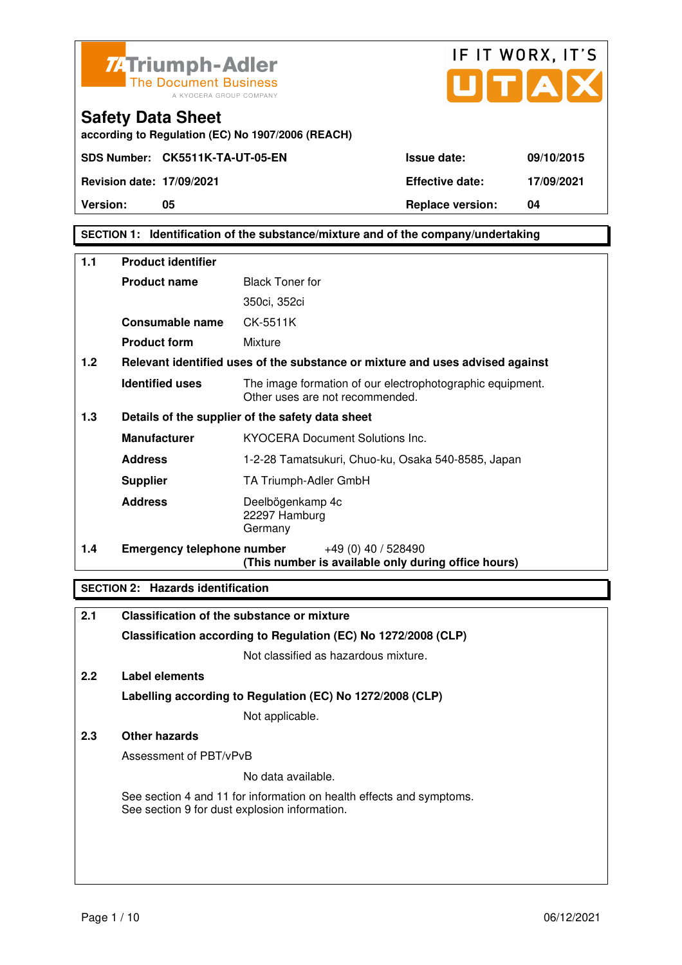



**Safety Data Sheet according to Regulation (EC) No 1907/2006 (REACH)**

**Version:** 05 05 **Replace version:** 04

## **SECTION 1: Identification of the substance/mixture and of the company/undertaking**

| 1.1 | <b>Product identifier</b>         |                                                                                              |  |
|-----|-----------------------------------|----------------------------------------------------------------------------------------------|--|
|     | <b>Product name</b>               | <b>Black Toner for</b>                                                                       |  |
|     |                                   | 350ci, 352ci                                                                                 |  |
|     | Consumable name                   | CK-5511K                                                                                     |  |
|     | <b>Product form</b>               | Mixture                                                                                      |  |
| 1.2 |                                   | Relevant identified uses of the substance or mixture and uses advised against                |  |
|     | <b>Identified uses</b>            | The image formation of our electrophotographic equipment.<br>Other uses are not recommended. |  |
| 1.3 |                                   | Details of the supplier of the safety data sheet                                             |  |
|     | <b>Manufacturer</b>               | <b>KYOCERA Document Solutions Inc.</b>                                                       |  |
|     | <b>Address</b>                    | 1-2-28 Tamatsukuri, Chuo-ku, Osaka 540-8585, Japan                                           |  |
|     | <b>Supplier</b>                   | TA Triumph-Adler GmbH                                                                        |  |
|     | <b>Address</b>                    | Deelbögenkamp 4c<br>22297 Hamburg<br>Germany                                                 |  |
| 1.4 | <b>Emergency telephone number</b> | $+49(0)$ 40 / 528490<br>(This number is available only during office hours)                  |  |

## **SECTION 2: Hazards identification**

| 2.1 | Classification of the substance or mixture                                                                            |  |
|-----|-----------------------------------------------------------------------------------------------------------------------|--|
|     | Classification according to Regulation (EC) No 1272/2008 (CLP)                                                        |  |
|     | Not classified as hazardous mixture.                                                                                  |  |
| 2.2 | Label elements                                                                                                        |  |
|     | Labelling according to Regulation (EC) No 1272/2008 (CLP)                                                             |  |
|     | Not applicable.                                                                                                       |  |
| 2.3 | <b>Other hazards</b>                                                                                                  |  |
|     | Assessment of PBT/vPvB                                                                                                |  |
|     | No data available.                                                                                                    |  |
|     | See section 4 and 11 for information on health effects and symptoms.<br>See section 9 for dust explosion information. |  |
|     |                                                                                                                       |  |
|     |                                                                                                                       |  |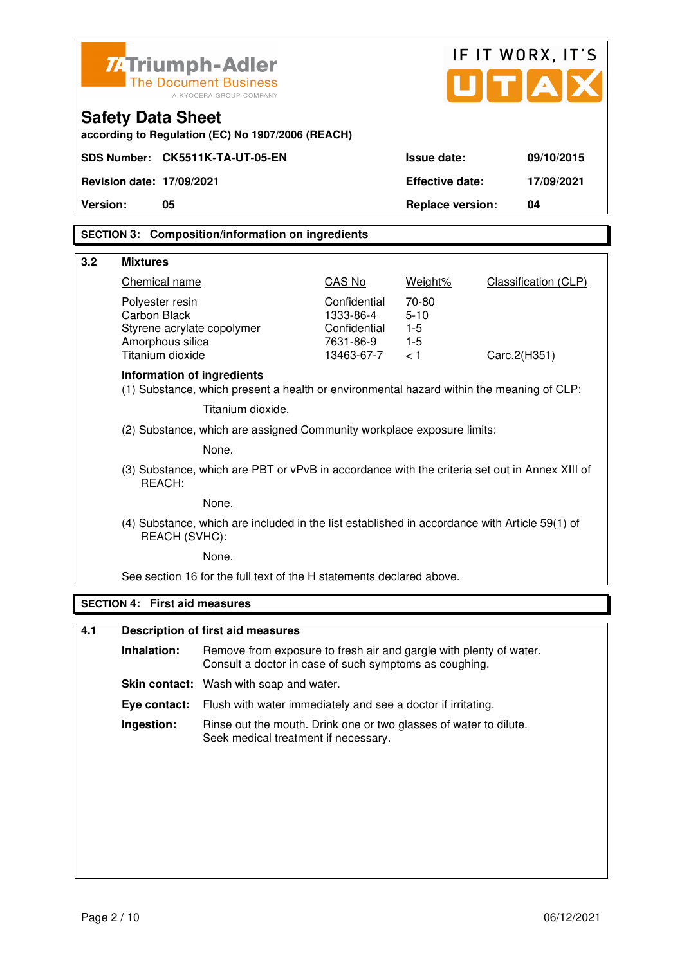|          |                                                                                                                | <b>ZATriumph-Adler</b><br><b>The Document Business</b><br>A KYOCERA GROUP COMPANY                                            |                           |                         | IF IT WORX, IT'S<br>UTA     |
|----------|----------------------------------------------------------------------------------------------------------------|------------------------------------------------------------------------------------------------------------------------------|---------------------------|-------------------------|-----------------------------|
|          | <b>Safety Data Sheet</b>                                                                                       | according to Regulation (EC) No 1907/2006 (REACH)                                                                            |                           |                         |                             |
|          |                                                                                                                | SDS Number: CK5511K-TA-UT-05-EN                                                                                              |                           | <b>Issue date:</b>      | 09/10/2015                  |
|          | <b>Revision date: 17/09/2021</b>                                                                               |                                                                                                                              |                           | <b>Effective date:</b>  | 17/09/2021                  |
| Version: | 05                                                                                                             |                                                                                                                              |                           | <b>Replace version:</b> | 04                          |
|          |                                                                                                                |                                                                                                                              |                           |                         |                             |
|          |                                                                                                                | <b>SECTION 3: Composition/information on ingredients</b>                                                                     |                           |                         |                             |
| 3.2      | <b>Mixtures</b>                                                                                                |                                                                                                                              |                           |                         |                             |
|          | Chemical name                                                                                                  |                                                                                                                              | CAS No                    | Weight%                 | <b>Classification (CLP)</b> |
|          | Polyester resin<br>Carbon Black                                                                                |                                                                                                                              | Confidential<br>1333-86-4 | 70-80<br>$5 - 10$       |                             |
|          | Styrene acrylate copolymer                                                                                     |                                                                                                                              | Confidential              | $1 - 5$                 |                             |
|          | Amorphous silica<br>Titanium dioxide                                                                           |                                                                                                                              | 7631-86-9<br>13463-67-7   | $1-5$<br>< 1            | Carc.2(H351)                |
|          | Information of ingredients                                                                                     | (1) Substance, which present a health or environmental hazard within the meaning of CLP:                                     |                           |                         |                             |
|          |                                                                                                                | Titanium dioxide.                                                                                                            |                           |                         |                             |
|          | (2) Substance, which are assigned Community workplace exposure limits:                                         |                                                                                                                              |                           |                         |                             |
|          | None.                                                                                                          |                                                                                                                              |                           |                         |                             |
|          | (3) Substance, which are PBT or vPvB in accordance with the criteria set out in Annex XIII of<br>REACH:        |                                                                                                                              |                           |                         |                             |
|          | None.                                                                                                          |                                                                                                                              |                           |                         |                             |
|          | (4) Substance, which are included in the list established in accordance with Article 59(1) of<br>REACH (SVHC): |                                                                                                                              |                           |                         |                             |
|          | None.                                                                                                          |                                                                                                                              |                           |                         |                             |
|          | See section 16 for the full text of the H statements declared above.                                           |                                                                                                                              |                           |                         |                             |
|          | <b>SECTION 4: First aid measures</b>                                                                           |                                                                                                                              |                           |                         |                             |
| 4.1      |                                                                                                                | <b>Description of first aid measures</b>                                                                                     |                           |                         |                             |
|          | Inhalation:                                                                                                    | Remove from exposure to fresh air and gargle with plenty of water.<br>Consult a doctor in case of such symptoms as coughing. |                           |                         |                             |
|          |                                                                                                                | Skin contact: Wash with soap and water.                                                                                      |                           |                         |                             |
|          | Eye contact:                                                                                                   | Flush with water immediately and see a doctor if irritating.                                                                 |                           |                         |                             |
|          | Ingestion:                                                                                                     | Rinse out the mouth. Drink one or two glasses of water to dilute.<br>Seek medical treatment if necessary.                    |                           |                         |                             |
|          |                                                                                                                |                                                                                                                              |                           |                         |                             |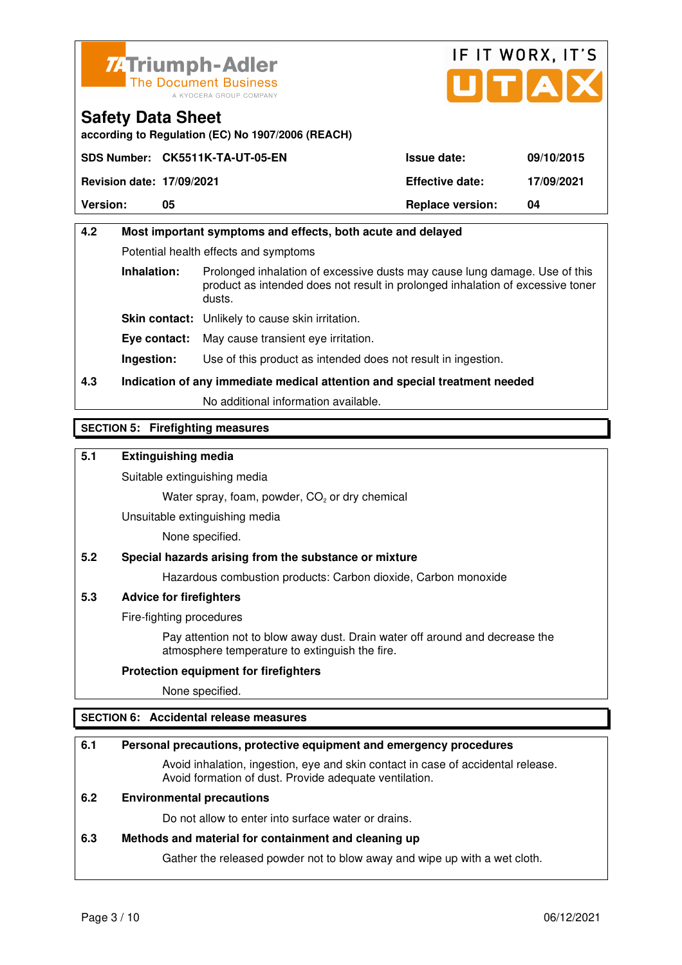



**according to Regulation (EC) No 1907/2006 (REACH)**

|                                  | SDS Number: CK5511K-TA-UT-05-EN | <b>Issue date:</b>      | 09/10/2015 |
|----------------------------------|---------------------------------|-------------------------|------------|
| <b>Revision date: 17/09/2021</b> |                                 | <b>Effective date:</b>  | 17/09/2021 |
| <b>Version:</b>                  | 05                              | <b>Replace version:</b> | 04         |

## **4.2 Most important symptoms and effects, both acute and delayed**  Potential health effects and symptoms **Inhalation:** Prolonged inhalation of excessive dusts may cause lung damage. Use of this product as intended does not result in prolonged inhalation of excessive toner dusts. **Skin contact:** Unlikely to cause skin irritation. **Eye contact:** May cause transient eye irritation.

**Ingestion:** Use of this product as intended does not result in ingestion.

## **4.3 Indication of any immediate medical attention and special treatment needed**

No additional information available.

## **SECTION 5: Firefighting measures**

## **5.1 Extinguishing media**

Suitable extinguishing media

Water spray, foam, powder,  $CO<sub>2</sub>$  or dry chemical

Unsuitable extinguishing media

None specified.

## **5.2 Special hazards arising from the substance or mixture**

Hazardous combustion products: Carbon dioxide, Carbon monoxide

## **5.3 Advice for firefighters**

Fire-fighting procedures

 Pay attention not to blow away dust. Drain water off around and decrease the atmosphere temperature to extinguish the fire.

## **Protection equipment for firefighters**

None specified.

## **SECTION 6: Accidental release measures**

## **6.1 Personal precautions, protective equipment and emergency procedures**

 Avoid inhalation, ingestion, eye and skin contact in case of accidental release. Avoid formation of dust. Provide adequate ventilation.

## **6.2 Environmental precautions**

Do not allow to enter into surface water or drains.

## **6.3 Methods and material for containment and cleaning up**

Gather the released powder not to blow away and wipe up with a wet cloth.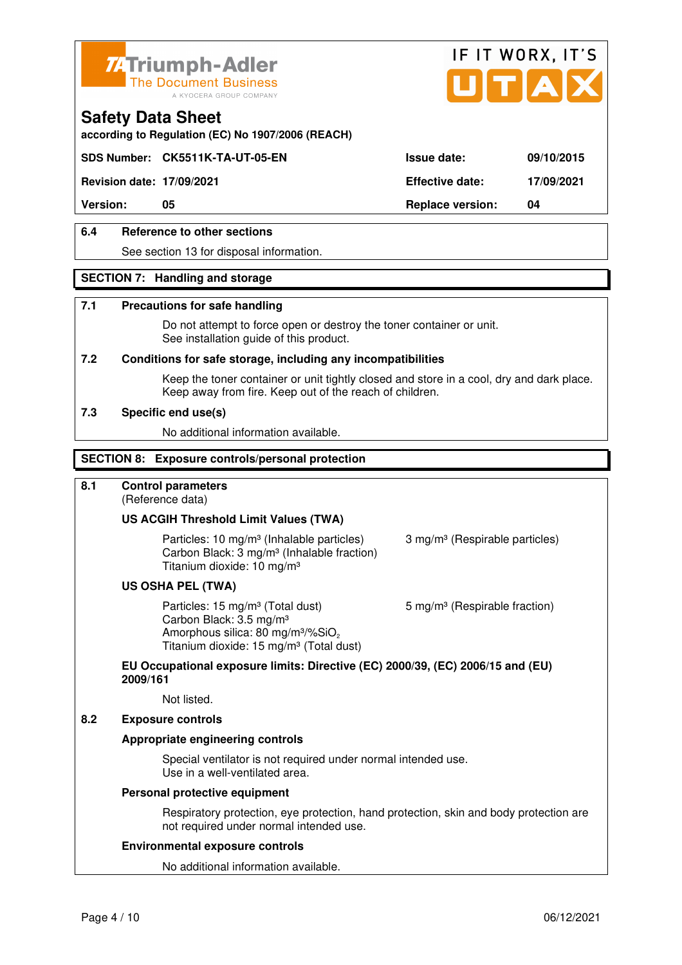



**according to Regulation (EC) No 1907/2006 (REACH)**

## **SDS Number: CK5511K-TA-UT-05-EN Issue date: 09/10/2015**

**Revision date: 17/09/2021 Effective date: 17/09/2021** 

**Version: 05 Replace version: 04** 

## **6.4 Reference to other sections**

See section 13 for disposal information.

## **SECTION 7: Handling and storage**

#### **7.1 Precautions for safe handling**

 Do not attempt to force open or destroy the toner container or unit. See installation guide of this product.

#### **7.2 Conditions for safe storage, including any incompatibilities**

Keep the toner container or unit tightly closed and store in a cool, dry and dark place. Keep away from fire. Keep out of the reach of children.

#### **7.3 Specific end use(s)**

No additional information available.

#### **SECTION 8: Exposure controls/personal protection**

## **8.1 Control parameters**

(Reference data)

## **US ACGIH Threshold Limit Values (TWA)**

Particles: 10 mg/m<sup>3</sup> (Inhalable particles) 3 mg/m<sup>3</sup> (Respirable particles) Carbon Black: 3 mg/m³ (Inhalable fraction) Titanium dioxide: 10 mg/m³

#### **US OSHA PEL (TWA)**

Particles: 15 mg/m<sup>3</sup> (Total dust) 5 mg/m<sup>3</sup> (Respirable fraction) Carbon Black: 3.5 mg/m³ Amorphous silica:  $80 \text{ mg/m}^3/\% \text{SiO}_2$ Titanium dioxide: 15 mg/m<sup>3</sup> (Total dust)

## **EU Occupational exposure limits: Directive (EC) 2000/39, (EC) 2006/15 and (EU) 2009/161**

Not listed.

#### **8.2 Exposure controls**

## **Appropriate engineering controls**

 Special ventilator is not required under normal intended use. Use in a well-ventilated area.

#### **Personal protective equipment**

 Respiratory protection, eye protection, hand protection, skin and body protection are not required under normal intended use.

#### **Environmental exposure controls**

No additional information available.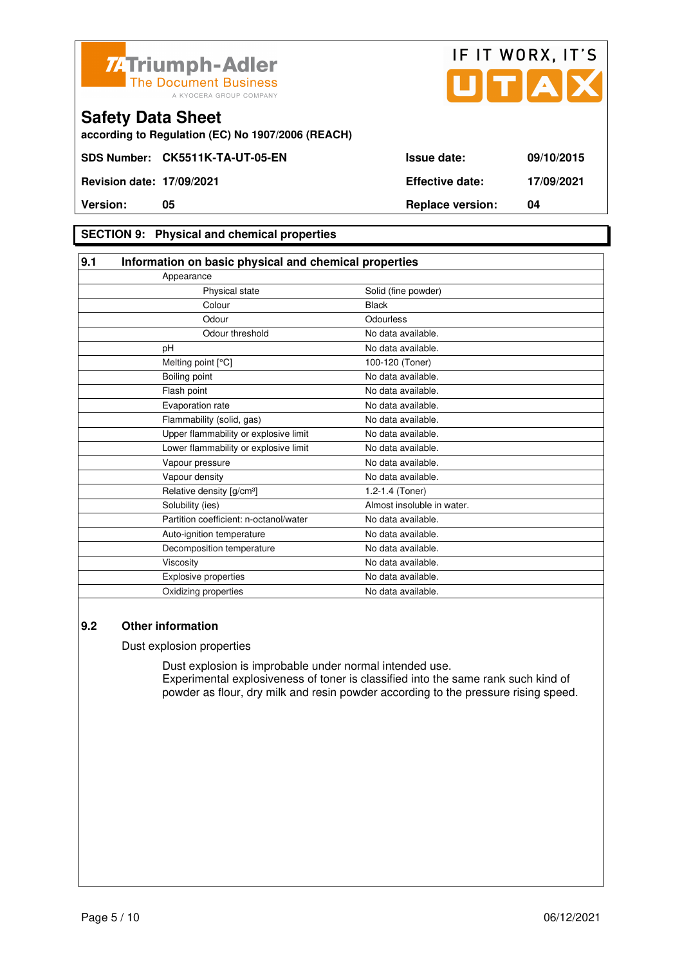



**according to Regulation (EC) No 1907/2006 (REACH)**

## **SECTION 9: Physical and chemical properties**

| 9.1 | Information on basic physical and chemical properties |                            |  |
|-----|-------------------------------------------------------|----------------------------|--|
|     | Appearance                                            |                            |  |
|     | Physical state                                        | Solid (fine powder)        |  |
|     | Colour                                                | <b>Black</b>               |  |
|     | Odour                                                 | Odourless                  |  |
|     | Odour threshold                                       | No data available.         |  |
|     | pH                                                    | No data available.         |  |
|     | Melting point [°C]                                    | 100-120 (Toner)            |  |
|     | Boiling point                                         | No data available.         |  |
|     | Flash point                                           | No data available.         |  |
|     | Evaporation rate                                      | No data available.         |  |
|     | Flammability (solid, gas)                             | No data available.         |  |
|     | Upper flammability or explosive limit                 | No data available.         |  |
|     | Lower flammability or explosive limit                 | No data available.         |  |
|     | Vapour pressure                                       | No data available.         |  |
|     | Vapour density                                        | No data available.         |  |
|     | Relative density [g/cm <sup>3</sup> ]                 | 1.2-1.4 (Toner)            |  |
|     | Solubility (ies)                                      | Almost insoluble in water. |  |
|     | Partition coefficient: n-octanol/water                | No data available.         |  |
|     | Auto-ignition temperature                             | No data available.         |  |
|     | Decomposition temperature                             | No data available.         |  |
|     | Viscosity                                             | No data available.         |  |
|     | <b>Explosive properties</b>                           | No data available.         |  |
|     | Oxidizing properties                                  | No data available.         |  |

## **9.2 Other information**

Dust explosion properties

 Dust explosion is improbable under normal intended use. Experimental explosiveness of toner is classified into the same rank such kind of powder as flour, dry milk and resin powder according to the pressure rising speed.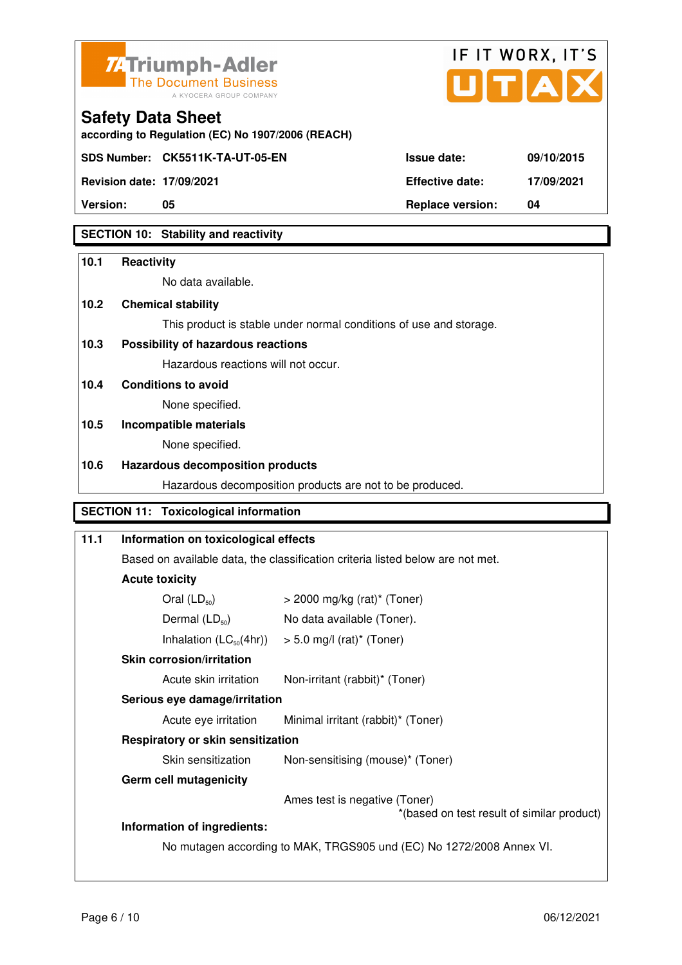



**according to Regulation (EC) No 1907/2006 (REACH)**

**Revision date: 17/09/2021 Effective date: 17/09/2021** 

**Safety Data Sheet** 

**Version: 05 Replace version: 04** 

## **SECTION 10: Stability and reactivity**

## **10.1 Reactivity**  No data available. **10.2 Chemical stability**  This product is stable under normal conditions of use and storage. **10.3 Possibility of hazardous reactions** Hazardous reactions will not occur. **10.4 Conditions to avoid**  None specified. **10.5 Incompatible materials**  None specified. **10.6 Hazardous decomposition products**  Hazardous decomposition products are not to be produced. **SECTION 11: Toxicological information**

## **11.1 Information on toxicological effects**  Based on available data, the classification criteria listed below are not met. **Acute toxicity**  Oral  $(LD_{50})$   $>$  2000 mg/kg (rat)<sup>\*</sup> (Toner) Dermal  $(LD_{50})$  No data available (Toner). Inhalation  $(LC_{50}(4hr))$  > 5.0 mg/l (rat)\* (Toner)  **Skin corrosion/irritation** Acute skin irritation Non-irritant (rabbit)\* (Toner)  **Serious eye damage/irritation** Acute eye irritation Minimal irritant (rabbit)\* (Toner)  **Respiratory or skin sensitization**  Skin sensitization Non-sensitising (mouse)<sup>\*</sup> (Toner)  **Germ cell mutagenicity** Ames test is negative (Toner) \*(based on test result of similar product) **Information of ingredients:**  No mutagen according to MAK, TRGS905 und (EC) No 1272/2008 Annex VI.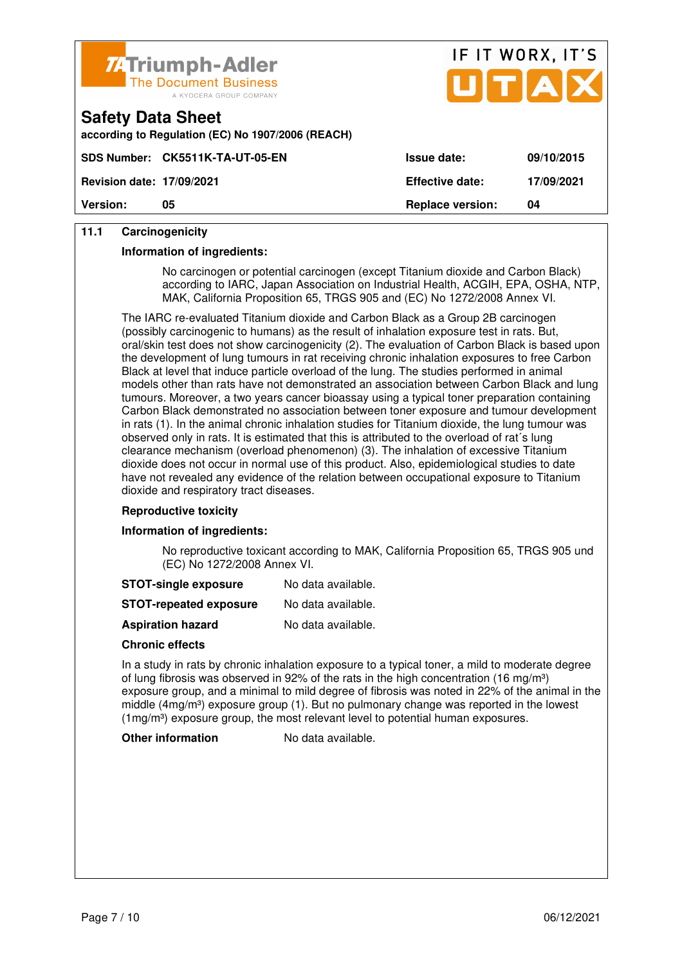

|                                  | <b>74 Triumph-Adler</b><br>The Document Business<br>A KYOCERA GROUP COMPANY | .<br>UTAX               |            |
|----------------------------------|-----------------------------------------------------------------------------|-------------------------|------------|
| <b>Safety Data Sheet</b>         | according to Regulation (EC) No 1907/2006 (REACH)                           |                         |            |
|                                  | SDS Number: CK5511K-TA-UT-05-EN                                             | <b>Issue date:</b>      | 09/10/2015 |
| <b>Revision date: 17/09/2021</b> |                                                                             | <b>Effective date:</b>  | 17/09/2021 |
| <b>Version:</b>                  | 05                                                                          | <b>Replace version:</b> | 04         |

IF IT WORX IT'S

## **11.1 Carcinogenicity**

#### **Information of ingredients:**

 No carcinogen or potential carcinogen (except Titanium dioxide and Carbon Black) according to IARC, Japan Association on Industrial Health, ACGIH, EPA, OSHA, NTP, MAK, California Proposition 65, TRGS 905 and (EC) No 1272/2008 Annex VI.

 The IARC re-evaluated Titanium dioxide and Carbon Black as a Group 2B carcinogen (possibly carcinogenic to humans) as the result of inhalation exposure test in rats. But, oral/skin test does not show carcinogenicity (2). The evaluation of Carbon Black is based upon the development of lung tumours in rat receiving chronic inhalation exposures to free Carbon Black at level that induce particle overload of the lung. The studies performed in animal models other than rats have not demonstrated an association between Carbon Black and lung tumours. Moreover, a two years cancer bioassay using a typical toner preparation containing Carbon Black demonstrated no association between toner exposure and tumour development in rats (1). In the animal chronic inhalation studies for Titanium dioxide, the lung tumour was observed only in rats. It is estimated that this is attributed to the overload of rat´s lung clearance mechanism (overload phenomenon) (3). The inhalation of excessive Titanium dioxide does not occur in normal use of this product. Also, epidemiological studies to date have not revealed any evidence of the relation between occupational exposure to Titanium dioxide and respiratory tract diseases.

#### **Reproductive toxicity**

#### **Information of ingredients:**

 No reproductive toxicant according to MAK, California Proposition 65, TRGS 905 und (EC) No 1272/2008 Annex VI.

| <b>STOT-single exposure</b> | No data available. |
|-----------------------------|--------------------|
|-----------------------------|--------------------|

**STOT-repeated exposure** No data available.

**Aspiration hazard** No data available.

#### **Chronic effects**

 In a study in rats by chronic inhalation exposure to a typical toner, a mild to moderate degree of lung fibrosis was observed in 92% of the rats in the high concentration (16 mg/m<sup>3</sup>) exposure group, and a minimal to mild degree of fibrosis was noted in 22% of the animal in the middle  $(4mg/m<sup>3</sup>)$  exposure group (1). But no pulmonary change was reported in the lowest (1mg/m<sup>3</sup>) exposure group, the most relevant level to potential human exposures.

#### **Other information** No data available.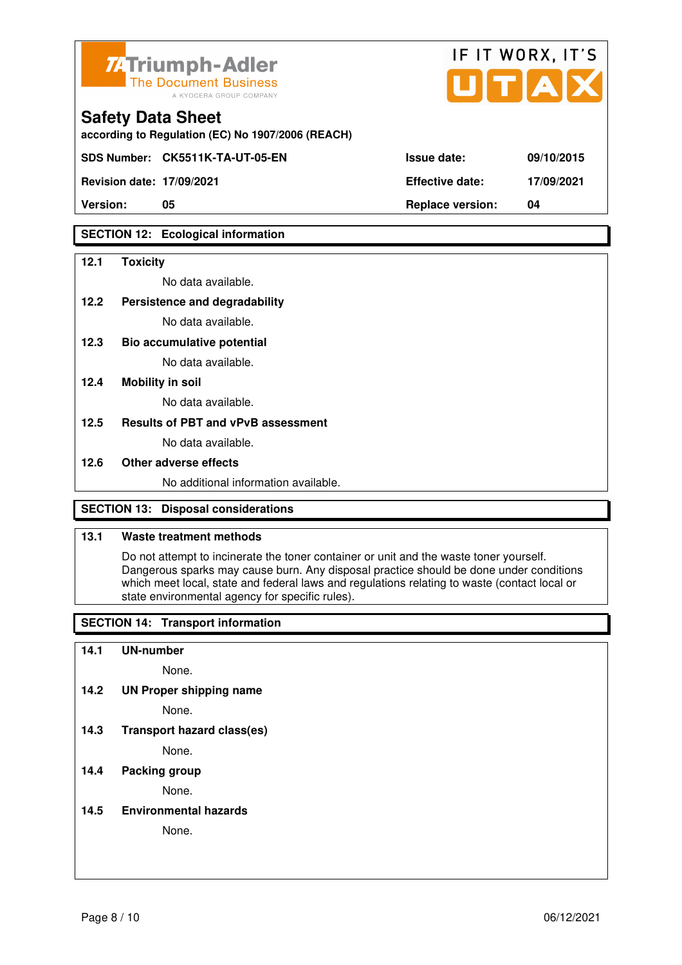

| <b>74 Triumph-Adler</b><br>The Document Business<br>A KYOCERA GROUP COMPANY   |                        | IF II WORX, II'S<br>UTAX |
|-------------------------------------------------------------------------------|------------------------|--------------------------|
| <b>Safety Data Sheet</b><br>according to Regulation (EC) No 1907/2006 (REACH) |                        |                          |
| SDS Number: CK5511K-TA-UT-05-EN                                               | <b>Issue date:</b>     | 09/10/2015               |
| <b>Revision date: 17/09/2021</b>                                              | <b>Effective date:</b> | 17/09/2021               |

 $\mathbf{r} = \mathbf{r} + \mathbf{r}$ 

 $\rightarrow$ 

**Version: 05 Replace version: 04** 

## **SECTION 12: Ecological information**

## **12.1 Toxicity**

No data available.

## **12.2 Persistence and degradability**

No data available.

**12.3 Bio accumulative potential** 

No data available.

## **12.4 Mobility in soil**

No data available.

## **12.5 Results of PBT and vPvB assessment**

No data available.

## **12.6 Other adverse effects**

No additional information available.

## **SECTION 13: Disposal considerations**

## **13.1 Waste treatment methods**

 Do not attempt to incinerate the toner container or unit and the waste toner yourself. Dangerous sparks may cause burn. Any disposal practice should be done under conditions which meet local, state and federal laws and regulations relating to waste (contact local or state environmental agency for specific rules).

## **SECTION 14: Transport information**

## **14.1 UN-number**

None.

**14.2 UN Proper shipping name** 

None.

**14.3 Transport hazard class(es)** 

None.

## **14.4 Packing group**

None.

**14.5 Environmental hazards** 

None.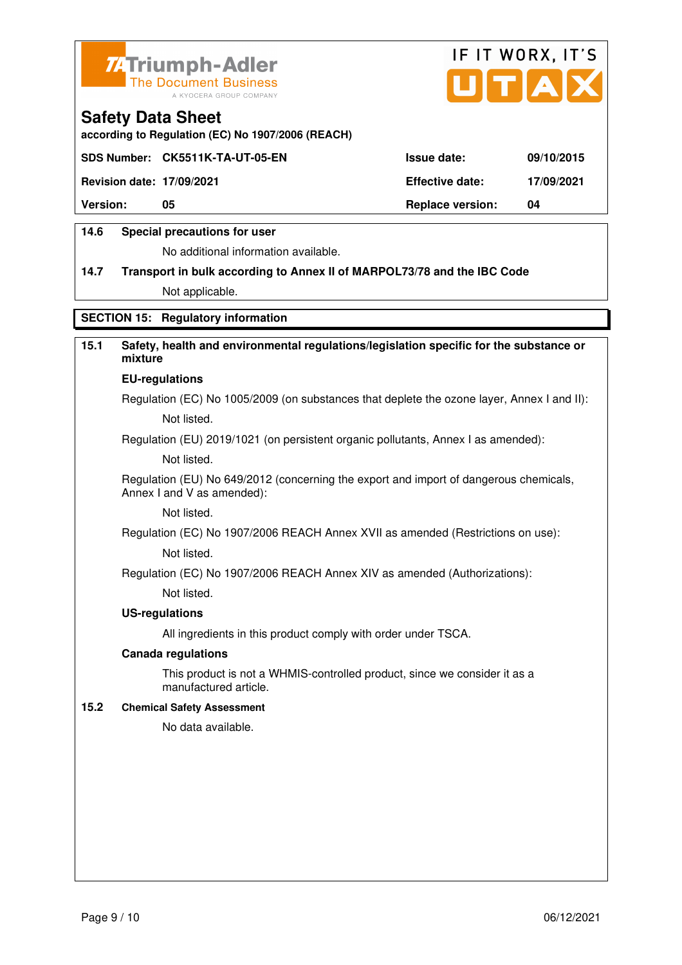



**according to Regulation (EC) No 1907/2006 (REACH)**

|                                  | SDS Number: CK5511K-TA-UT-05-EN | <b>Issue date:</b>      | 09/10/2015 |
|----------------------------------|---------------------------------|-------------------------|------------|
| <b>Revision date: 17/09/2021</b> |                                 | <b>Effective date:</b>  | 17/09/2021 |
| <b>Version:</b>                  | 05                              | <b>Replace version:</b> | 04         |
|                                  |                                 |                         |            |

## **14.6 Special precautions for user**

No additional information available.

## **14.7 Transport in bulk according to Annex II of MARPOL73/78 and the IBC Code** Not applicable.

## **SECTION 15: Regulatory information**

## **15.1 Safety, health and environmental regulations/legislation specific for the substance or mixture**

#### **EU-regulations**

Regulation (EC) No 1005/2009 (on substances that deplete the ozone layer, Annex I and II): Not listed.

Regulation (EU) 2019/1021 (on persistent organic pollutants, Annex I as amended):

Not listed.

 Regulation (EU) No 649/2012 (concerning the export and import of dangerous chemicals, Annex I and V as amended):

Not listed.

 Regulation (EC) No 1907/2006 REACH Annex XVII as amended (Restrictions on use): Not listed.

Regulation (EC) No 1907/2006 REACH Annex XIV as amended (Authorizations):

Not listed.

#### **US-regulations**

All ingredients in this product comply with order under TSCA.

#### **Canada regulations**

 This product is not a WHMIS-controlled product, since we consider it as a manufactured article.

### **15.2 Chemical Safety Assessment**

No data available.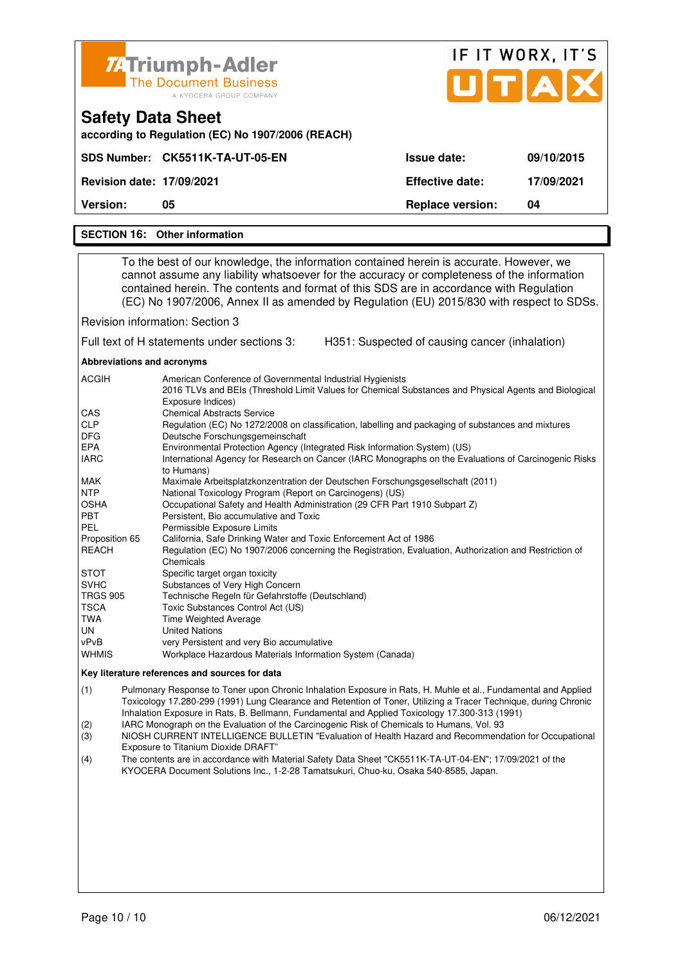| Z4Triumph-Adler<br><b>The Document Business</b><br>A KYOCERA GROUP COMPANY    |                         | IF IT WORX, IT'S<br>UTAX |  |
|-------------------------------------------------------------------------------|-------------------------|--------------------------|--|
| <b>Safety Data Sheet</b><br>according to Regulation (EC) No 1907/2006 (REACH) |                         |                          |  |
| SDS Number: CK5511K-TA-UT-05-EN                                               | Issue date:             | 09/10/2015               |  |
| <b>Revision date: 17/09/2021</b>                                              | <b>Effective date:</b>  | 17/09/2021               |  |
| <b>Version:</b><br>05                                                         | <b>Replace version:</b> | 04                       |  |

#### **SECTION 16: Other information**

 To the best of our knowledge, the information contained herein is accurate. However, we cannot assume any liability whatsoever for the accuracy or completeness of the information contained herein. The contents and format of this SDS are in accordance with Regulation (EC) No 1907/2006, Annex II as amended by Regulation (EU) 2015/830 with respect to SDSs.

Revision information: Section 3

Full text of H statements under sections 3: H351: Suspected of causing cancer (inhalation)

**Abbreviations and acronyms** 

| American Conference of Governmental Industrial Hygienists                                                                  |
|----------------------------------------------------------------------------------------------------------------------------|
| 2016 TLVs and BEIs (Threshold Limit Values for Chemical Substances and Physical Agents and Biological<br>Exposure Indices) |
| <b>Chemical Abstracts Service</b>                                                                                          |
| Regulation (EC) No 1272/2008 on classification, labelling and packaging of substances and mixtures                         |
| Deutsche Forschungsgemeinschaft                                                                                            |
| Environmental Protection Agency (Integrated Risk Information System) (US)                                                  |
| International Agency for Research on Cancer (IARC Monographs on the Evaluations of Carcinogenic Risks                      |
| to Humans)                                                                                                                 |
| Maximale Arbeitsplatzkonzentration der Deutschen Forschungsgesellschaft (2011)                                             |
| National Toxicology Program (Report on Carcinogens) (US)                                                                   |
| Occupational Safety and Health Administration (29 CFR Part 1910 Subpart Z)                                                 |
| Persistent, Bio accumulative and Toxic                                                                                     |
| Permissible Exposure Limits                                                                                                |
| California, Safe Drinking Water and Toxic Enforcement Act of 1986                                                          |
| Regulation (EC) No 1907/2006 concerning the Registration, Evaluation, Authorization and Restriction of                     |
| Chemicals                                                                                                                  |
| Specific target organ toxicity                                                                                             |
| Substances of Very High Concern                                                                                            |
| Technische Regeln für Gefahrstoffe (Deutschland)                                                                           |
| Toxic Substances Control Act (US)                                                                                          |
| Time Weighted Average                                                                                                      |
| <b>United Nations</b>                                                                                                      |
| very Persistent and very Bio accumulative                                                                                  |
| Workplace Hazardous Materials Information System (Canada)                                                                  |
|                                                                                                                            |

#### **Key literature references and sources for data**

(1) Pulmonary Response to Toner upon Chronic Inhalation Exposure in Rats, H. Muhle et al., Fundamental and Applied Toxicology 17.280-299 (1991) Lung Clearance and Retention of Toner, Utilizing a Tracer Technique, during Chronic Inhalation Exposure in Rats, B. Bellmann, Fundamental and Applied Toxicology 17.300-313 (1991)

(2) IARC Monograph on the Evaluation of the Carcinogenic Risk of Chemicals to Humans, Vol. 93

(3) NIOSH CURRENT INTELLIGENCE BULLETIN "Evaluation of Health Hazard and Recommendation for Occupational Exposure to Titanium Dioxide DRAFT"

(4) The contents are in accordance with Material Safety Data Sheet "CK5511K-TA-UT-04-EN"; 17/09/2021 of the KYOCERA Document Solutions Inc., 1-2-28 Tamatsukuri, Chuo-ku, Osaka 540-8585, Japan.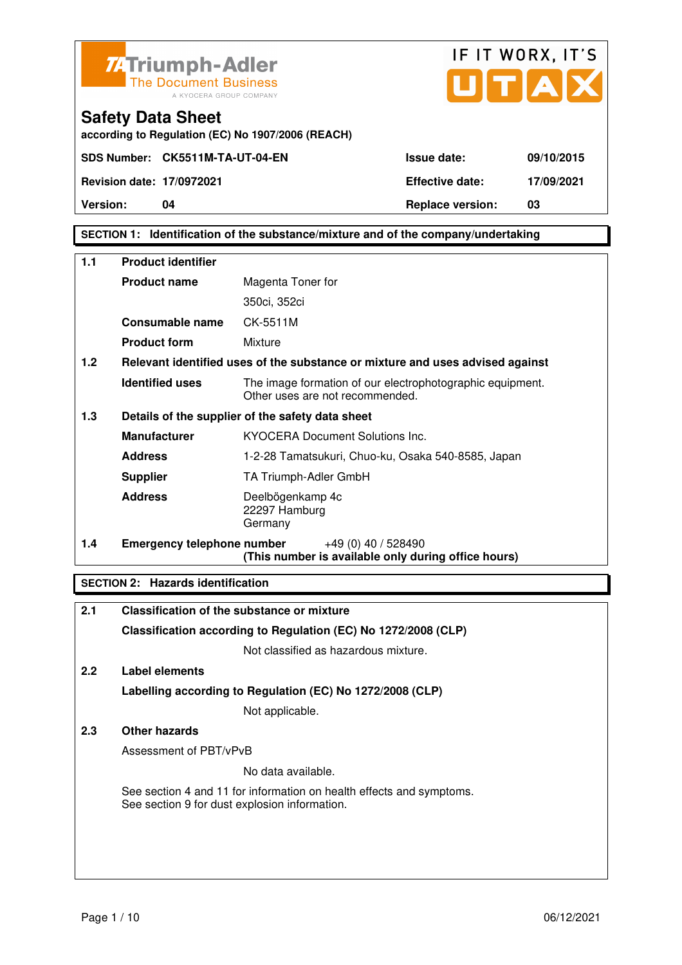



**SECTION 1: Identification of the substance/mixture and of the company/undertaking** 

| 1.1              | <b>Product identifier</b>         |                                                                                              |  |
|------------------|-----------------------------------|----------------------------------------------------------------------------------------------|--|
|                  | <b>Product name</b>               | Magenta Toner for                                                                            |  |
|                  |                                   | 350ci, 352ci                                                                                 |  |
|                  | Consumable name                   | CK-5511M                                                                                     |  |
|                  | <b>Product form</b>               | Mixture                                                                                      |  |
| 1.2 <sub>1</sub> |                                   | Relevant identified uses of the substance or mixture and uses advised against                |  |
|                  | <b>Identified uses</b>            | The image formation of our electrophotographic equipment.<br>Other uses are not recommended. |  |
| 1.3              |                                   | Details of the supplier of the safety data sheet                                             |  |
|                  | <b>Manufacturer</b>               | <b>KYOCERA Document Solutions Inc.</b>                                                       |  |
|                  | <b>Address</b>                    | 1-2-28 Tamatsukuri, Chuo-ku, Osaka 540-8585, Japan                                           |  |
|                  | <b>Supplier</b>                   | TA Triumph-Adler GmbH                                                                        |  |
|                  | <b>Address</b>                    | Deelbögenkamp 4c<br>22297 Hamburg<br>Germany                                                 |  |
| 1.4              | <b>Emergency telephone number</b> | $+49(0)$ 40 / 528490<br>(This number is available only during office hours)                  |  |

## **SECTION 2: Hazards identification**

| 2.1 | <b>Classification of the substance or mixture</b>                                                                     |
|-----|-----------------------------------------------------------------------------------------------------------------------|
|     | Classification according to Regulation (EC) No 1272/2008 (CLP)                                                        |
|     | Not classified as hazardous mixture.                                                                                  |
| 2.2 | Label elements                                                                                                        |
|     | Labelling according to Regulation (EC) No 1272/2008 (CLP)                                                             |
|     | Not applicable.                                                                                                       |
| 2.3 | Other hazards                                                                                                         |
|     | Assessment of PBT/vPvB                                                                                                |
|     | No data available.                                                                                                    |
|     | See section 4 and 11 for information on health effects and symptoms.<br>See section 9 for dust explosion information. |
|     |                                                                                                                       |
|     |                                                                                                                       |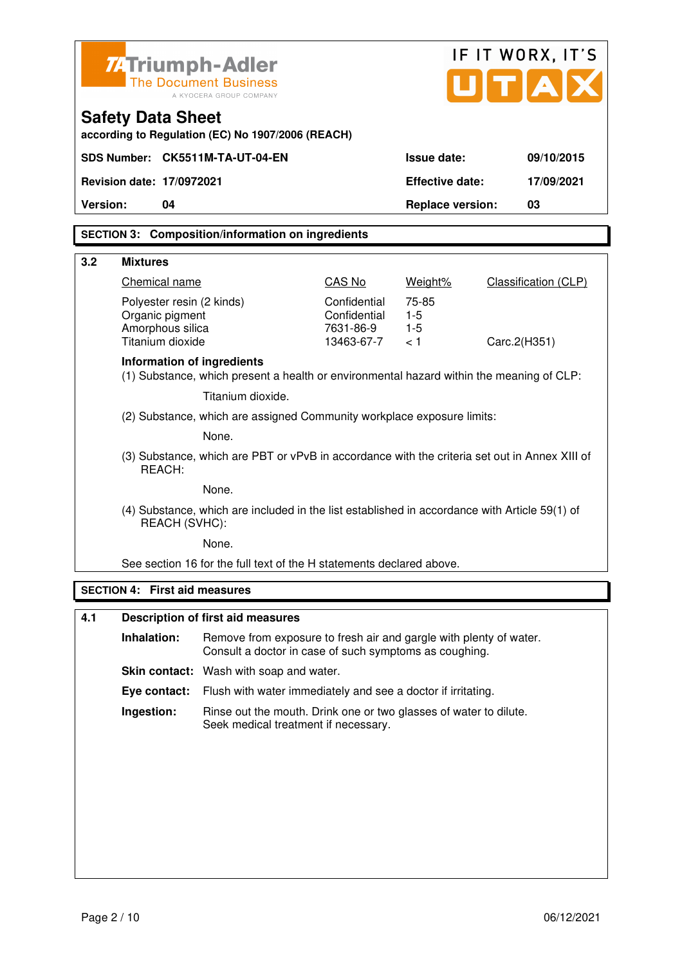|          | IF IT WORX, IT'S<br><b>ZATriumph-Adler</b><br>UTA<br><b>The Document Business</b><br>A KYOCERA GROUP COMPANY |                                                                                                                              |                                                         |                                |                      |  |
|----------|--------------------------------------------------------------------------------------------------------------|------------------------------------------------------------------------------------------------------------------------------|---------------------------------------------------------|--------------------------------|----------------------|--|
|          | <b>Safety Data Sheet</b><br>according to Regulation (EC) No 1907/2006 (REACH)                                |                                                                                                                              |                                                         |                                |                      |  |
|          |                                                                                                              | SDS Number: CK5511M-TA-UT-04-EN                                                                                              |                                                         | <b>Issue date:</b>             | 09/10/2015           |  |
|          | Revision date: 17/0972021                                                                                    |                                                                                                                              |                                                         | <b>Effective date:</b>         | 17/09/2021           |  |
| Version: | 04                                                                                                           |                                                                                                                              |                                                         | <b>Replace version:</b>        | 03                   |  |
|          |                                                                                                              | <b>SECTION 3: Composition/information on ingredients</b>                                                                     |                                                         |                                |                      |  |
| 3.2      | <b>Mixtures</b>                                                                                              |                                                                                                                              |                                                         |                                |                      |  |
|          | Chemical name                                                                                                |                                                                                                                              | CAS No                                                  | Weight%                        | Classification (CLP) |  |
|          | Polyester resin (2 kinds)<br>Organic pigment<br>Amorphous silica<br>Titanium dioxide                         |                                                                                                                              | Confidential<br>Confidential<br>7631-86-9<br>13463-67-7 | 75-85<br>$1-5$<br>$1-5$<br>< 1 | Carc.2(H351)         |  |
|          | Information of ingredients                                                                                   | (1) Substance, which present a health or environmental hazard within the meaning of CLP:                                     |                                                         |                                |                      |  |
|          |                                                                                                              | Titanium dioxide.                                                                                                            |                                                         |                                |                      |  |
|          |                                                                                                              | (2) Substance, which are assigned Community workplace exposure limits:                                                       |                                                         |                                |                      |  |
|          | None.                                                                                                        |                                                                                                                              |                                                         |                                |                      |  |
|          | REACH:                                                                                                       | (3) Substance, which are PBT or vPvB in accordance with the criteria set out in Annex XIII of                                |                                                         |                                |                      |  |
|          |                                                                                                              | None.                                                                                                                        |                                                         |                                |                      |  |
|          | REACH (SVHC):                                                                                                | (4) Substance, which are included in the list established in accordance with Article 59(1) of                                |                                                         |                                |                      |  |
|          |                                                                                                              | None.                                                                                                                        |                                                         |                                |                      |  |
|          |                                                                                                              | See section 16 for the full text of the H statements declared above.                                                         |                                                         |                                |                      |  |
|          | <b>SECTION 4: First aid measures</b>                                                                         |                                                                                                                              |                                                         |                                |                      |  |
| 4.1      |                                                                                                              | <b>Description of first aid measures</b>                                                                                     |                                                         |                                |                      |  |
|          | Inhalation:                                                                                                  | Remove from exposure to fresh air and gargle with plenty of water.<br>Consult a doctor in case of such symptoms as coughing. |                                                         |                                |                      |  |
|          |                                                                                                              | Skin contact: Wash with soap and water.                                                                                      |                                                         |                                |                      |  |
|          | Eye contact:                                                                                                 | Flush with water immediately and see a doctor if irritating.                                                                 |                                                         |                                |                      |  |
|          | Ingestion:                                                                                                   | Rinse out the mouth. Drink one or two glasses of water to dilute.<br>Seek medical treatment if necessary.                    |                                                         |                                |                      |  |
|          |                                                                                                              |                                                                                                                              |                                                         |                                |                      |  |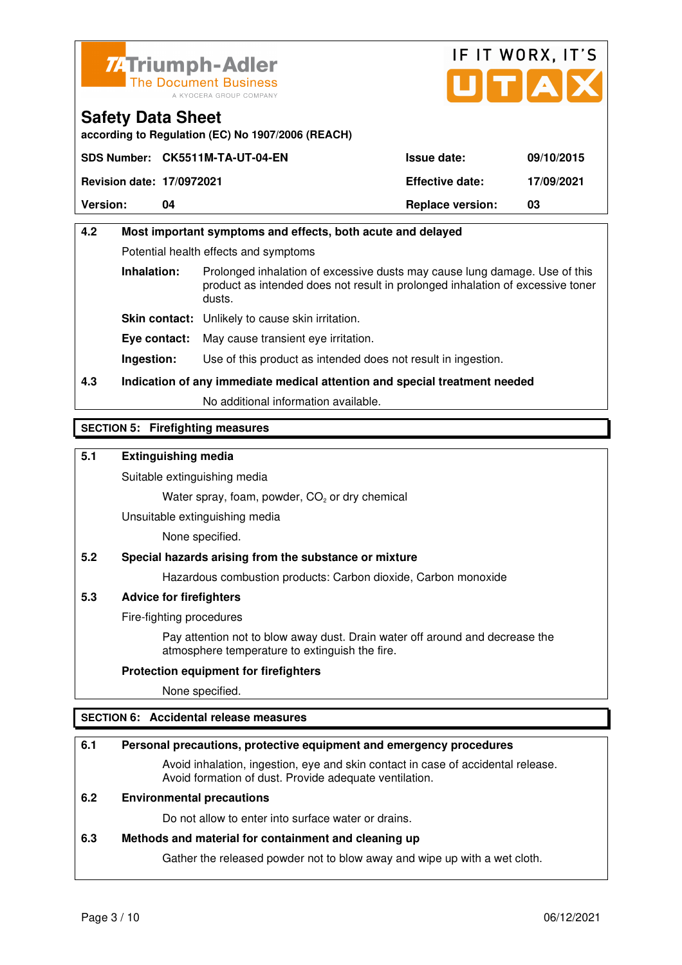



**according to Regulation (EC) No 1907/2006 (REACH)**

|                                  | SDS Number: CK5511M-TA-UT-04-EN | <b>Issue date:</b>      | 09/10/2015 |
|----------------------------------|---------------------------------|-------------------------|------------|
| <b>Revision date: 17/0972021</b> |                                 | <b>Effective date:</b>  | 17/09/2021 |
| <b>Version:</b>                  | 04                              | <b>Replace version:</b> | 03         |

## **4.2 Most important symptoms and effects, both acute and delayed**  Potential health effects and symptoms **Inhalation:** Prolonged inhalation of excessive dusts may cause lung damage. Use of this product as intended does not result in prolonged inhalation of excessive toner dusts. **Skin contact:** Unlikely to cause skin irritation. **Eye contact:** May cause transient eye irritation. **Ingestion:** Use of this product as intended does not result in ingestion.

**4.3 Indication of any immediate medical attention and special treatment needed** 

No additional information available.

## **SECTION 5: Firefighting measures**

## **5.1 Extinguishing media**

Suitable extinguishing media

Water spray, foam, powder,  $CO<sub>2</sub>$  or dry chemical

Unsuitable extinguishing media

None specified.

## **5.2 Special hazards arising from the substance or mixture**

Hazardous combustion products: Carbon dioxide, Carbon monoxide

## **5.3 Advice for firefighters**

Fire-fighting procedures

 Pay attention not to blow away dust. Drain water off around and decrease the atmosphere temperature to extinguish the fire.

## **Protection equipment for firefighters**

None specified.

## **SECTION 6: Accidental release measures**

## **6.1 Personal precautions, protective equipment and emergency procedures**

 Avoid inhalation, ingestion, eye and skin contact in case of accidental release. Avoid formation of dust. Provide adequate ventilation.

## **6.2 Environmental precautions**

Do not allow to enter into surface water or drains.

## **6.3 Methods and material for containment and cleaning up**

Gather the released powder not to blow away and wipe up with a wet cloth.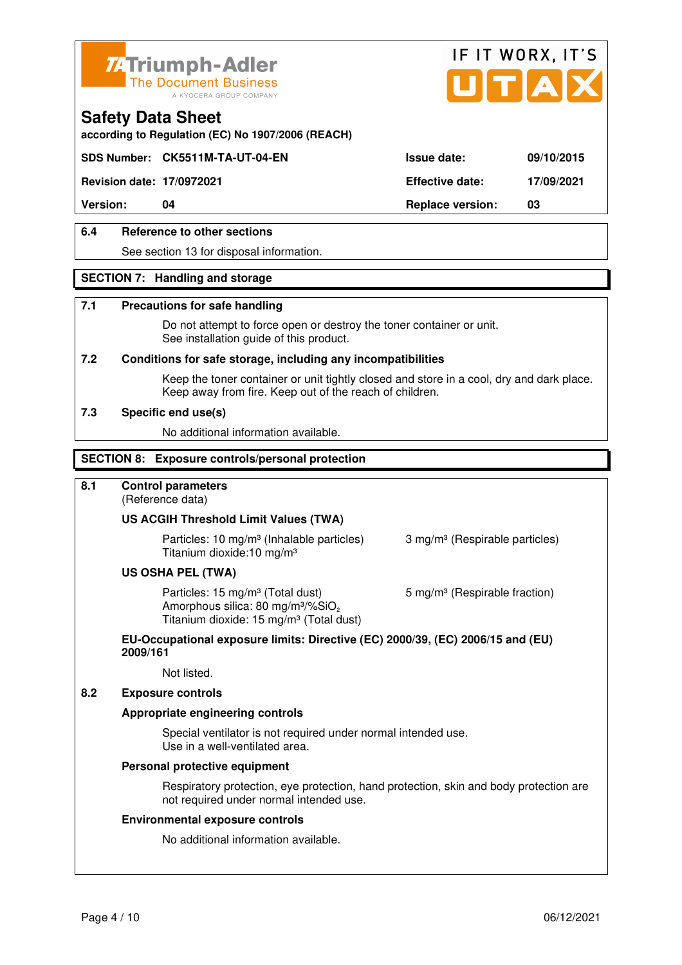



**according to Regulation (EC) No 1907/2006 (REACH)**

## **SDS Number: CK5511M-TA-UT-04-EN Issue date: 09/10/2015**

**Revision date: 17/0972021 Effective date: 17/09/2021** 

**Version: 04 Replace version: 03** 

## **6.4 Reference to other sections**

See section 13 for disposal information.

## **SECTION 7: Handling and storage**

## **7.1 Precautions for safe handling**

 Do not attempt to force open or destroy the toner container or unit. See installation guide of this product.

#### **7.2 Conditions for safe storage, including any incompatibilities**

Keep the toner container or unit tightly closed and store in a cool, dry and dark place. Keep away from fire. Keep out of the reach of children.

#### **7.3 Specific end use(s)**

No additional information available.

## **SECTION 8: Exposure controls/personal protection**

## **8.1 Control parameters**

(Reference data)

## **US ACGIH Threshold Limit Values (TWA)**

**Particles: 10 mg/m<sup>3</sup> (Inhalable particles) 3 mg/m<sup>3</sup> (Respirable particles)** Titanium dioxide:10 mg/m³

#### **US OSHA PEL (TWA)**

Particles: 15 mg/m<sup>3</sup> (Total dust) 5 mg/m<sup>3</sup> (Respirable fraction) Amorphous silica:  $80 \text{ mg/m}^3/\% \text{SiO}_2$ Titanium dioxide: 15 mg/m<sup>3</sup> (Total dust)

#### **EU-Occupational exposure limits: Directive (EC) 2000/39, (EC) 2006/15 and (EU) 2009/161**

Not listed.

## **8.2 Exposure controls**

#### **Appropriate engineering controls**

 Special ventilator is not required under normal intended use. Use in a well-ventilated area.

#### **Personal protective equipment**

 Respiratory protection, eye protection, hand protection, skin and body protection are not required under normal intended use.

#### **Environmental exposure controls**

No additional information available.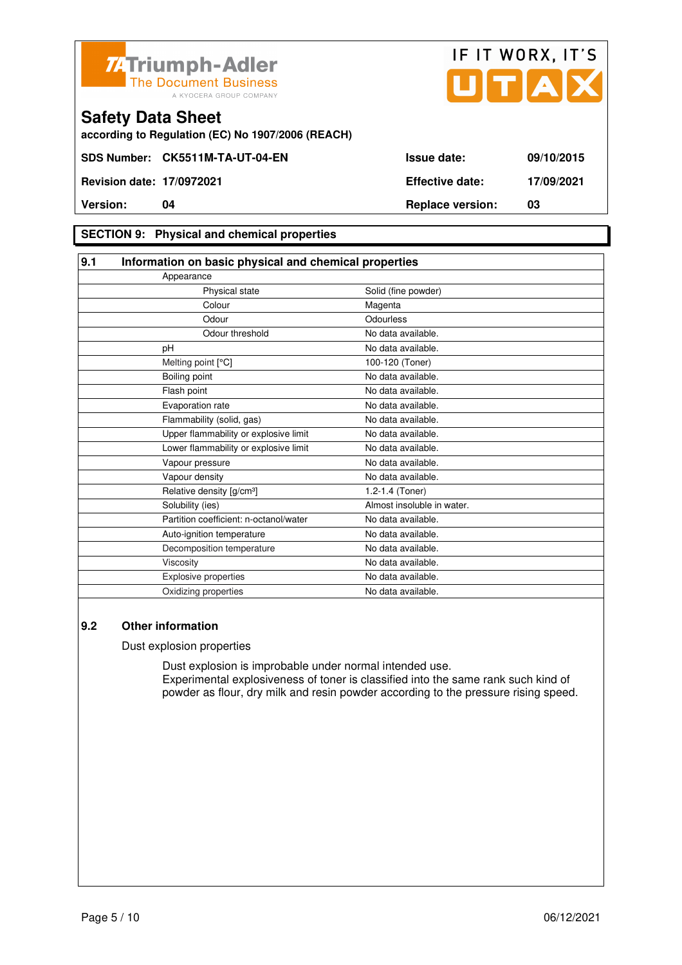



**according to Regulation (EC) No 1907/2006 (REACH)**

## **SECTION 9: Physical and chemical properties**

| 9.1 | Information on basic physical and chemical properties |                            |  |
|-----|-------------------------------------------------------|----------------------------|--|
|     | Appearance                                            |                            |  |
|     | Physical state                                        | Solid (fine powder)        |  |
|     | Colour                                                | Magenta                    |  |
|     | Odour                                                 | Odourless                  |  |
|     | Odour threshold                                       | No data available.         |  |
|     | pH                                                    | No data available.         |  |
|     | Melting point [°C]                                    | 100-120 (Toner)            |  |
|     | Boiling point                                         | No data available.         |  |
|     | Flash point                                           | No data available.         |  |
|     | Evaporation rate                                      | No data available.         |  |
|     | Flammability (solid, gas)                             | No data available.         |  |
|     | Upper flammability or explosive limit                 | No data available.         |  |
|     | Lower flammability or explosive limit                 | No data available.         |  |
|     | Vapour pressure                                       | No data available.         |  |
|     | Vapour density                                        | No data available.         |  |
|     | Relative density [g/cm <sup>3</sup> ]                 | 1.2-1.4 (Toner)            |  |
|     | Solubility (ies)                                      | Almost insoluble in water. |  |
|     | Partition coefficient: n-octanol/water                | No data available.         |  |
|     | Auto-ignition temperature                             | No data available.         |  |
|     | Decomposition temperature                             | No data available.         |  |
|     | Viscosity                                             | No data available.         |  |
|     | Explosive properties                                  | No data available.         |  |
|     | Oxidizing properties                                  | No data available.         |  |

## **9.2 Other information**

Dust explosion properties

 Dust explosion is improbable under normal intended use. Experimental explosiveness of toner is classified into the same rank such kind of powder as flour, dry milk and resin powder according to the pressure rising speed.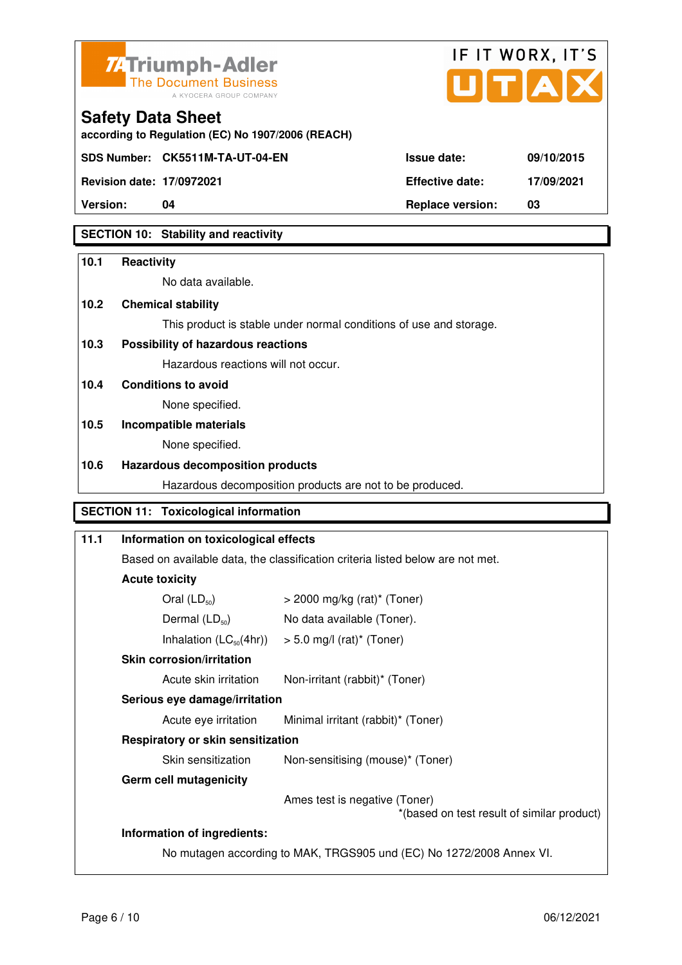



**according to Regulation (EC) No 1907/2006 (REACH)**

**Revision date: 17/0972021 Effective date: 17/09/2021** 

**Safety Data Sheet** 

**Version: 04 Replace version: 03** 

## **SECTION 10: Stability and reactivity**

## **10.1 Reactivity**  No data available.

**10.2 Chemical stability**  This product is stable under normal conditions of use and storage.

## **10.3 Possibility of hazardous reactions**

Hazardous reactions will not occur.

**10.4 Conditions to avoid** 

None specified.

## **10.5 Incompatible materials**

None specified.

## **10.6 Hazardous decomposition products**

Hazardous decomposition products are not to be produced.

## **SECTION 11: Toxicological information**

## **11.1 Information on toxicological effects**  Based on available data, the classification criteria listed below are not met. **Acute toxicity**  Oral  $(LD_{50})$   $>$  2000 mg/kg (rat)<sup>\*</sup> (Toner) Dermal  $(LD_{50})$  No data available (Toner). Inhalation  $(LC_{50}(4hr))$  > 5.0 mg/l (rat)\* (Toner)  **Skin corrosion/irritation** Acute skin irritation Non-irritant (rabbit)\* (Toner)  **Serious eye damage/irritation** Acute eye irritation Minimal irritant (rabbit)\* (Toner)  **Respiratory or skin sensitization**  Skin sensitization Non-sensitising (mouse)<sup>\*</sup> (Toner)  **Germ cell mutagenicity** Ames test is negative (Toner) \*(based on test result of similar product) **Information of ingredients:**  No mutagen according to MAK, TRGS905 und (EC) No 1272/2008 Annex VI.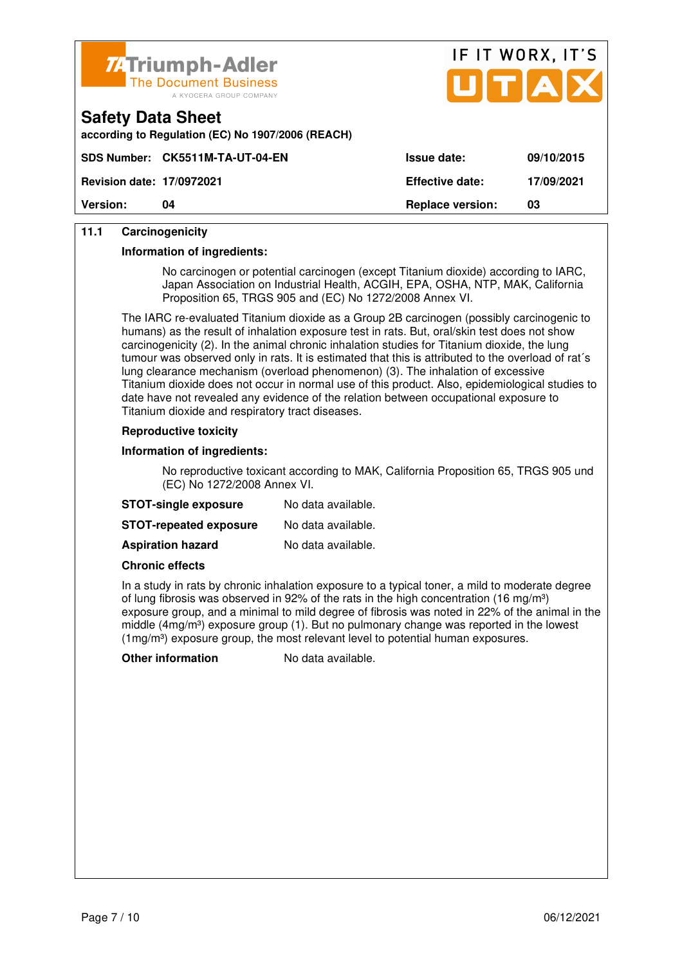

**according to Regulation (EC) No 1907/2006 (REACH)**



|                                  | SDS Number: CK5511M-TA-UT-04-EN_ | <b>Issue date:</b>      | 09/10/2015 |
|----------------------------------|----------------------------------|-------------------------|------------|
| <b>Revision date: 17/0972021</b> |                                  | <b>Effective date:</b>  | 17/09/2021 |
| <b>Version:</b>                  | 04                               | <b>Replace version:</b> | 03         |

## **11.1 Carcinogenicity**

**Safety Data Sheet** 

#### **Information of ingredients:**

 No carcinogen or potential carcinogen (except Titanium dioxide) according to IARC, Japan Association on Industrial Health, ACGIH, EPA, OSHA, NTP, MAK, California Proposition 65, TRGS 905 and (EC) No 1272/2008 Annex VI.

 The IARC re-evaluated Titanium dioxide as a Group 2B carcinogen (possibly carcinogenic to humans) as the result of inhalation exposure test in rats. But, oral/skin test does not show carcinogenicity (2). In the animal chronic inhalation studies for Titanium dioxide, the lung tumour was observed only in rats. It is estimated that this is attributed to the overload of rat´s lung clearance mechanism (overload phenomenon) (3). The inhalation of excessive Titanium dioxide does not occur in normal use of this product. Also, epidemiological studies to date have not revealed any evidence of the relation between occupational exposure to Titanium dioxide and respiratory tract diseases.

#### **Reproductive toxicity**

#### **Information of ingredients:**

 No reproductive toxicant according to MAK, California Proposition 65, TRGS 905 und (EC) No 1272/2008 Annex VI.

| <b>STOT-single exposure</b>   | No data available. |
|-------------------------------|--------------------|
| <b>STOT-repeated exposure</b> | No data available. |
| <b>Aspiration hazard</b>      | No data available. |

#### **Chronic effects**

 In a study in rats by chronic inhalation exposure to a typical toner, a mild to moderate degree of lung fibrosis was observed in 92% of the rats in the high concentration (16 mg/m<sup>3</sup>) exposure group, and a minimal to mild degree of fibrosis was noted in 22% of the animal in the middle (4mg/m<sup>3</sup>) exposure group (1). But no pulmonary change was reported in the lowest  $(1 \text{mg/m}^3)$  exposure group, the most relevant level to potential human exposures.

**Other information** No data available.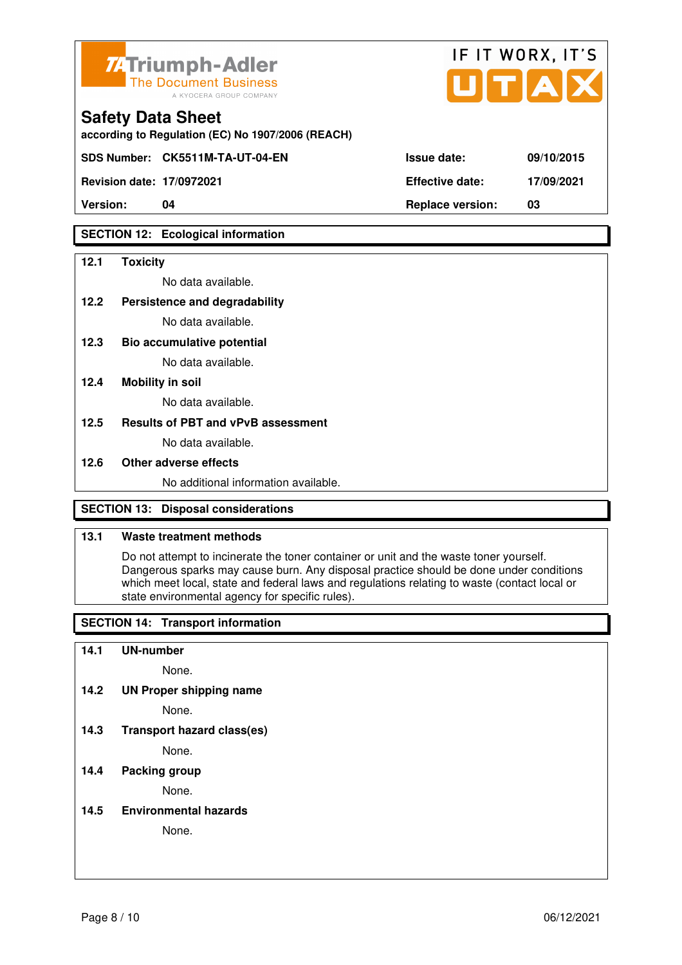

| <b>7. Triumph-Adler</b><br>The Document Business<br>A KYOCERA GROUP COMPANY   |                        | IF IT WORX, IT'S<br>UTAX |
|-------------------------------------------------------------------------------|------------------------|--------------------------|
| <b>Safety Data Sheet</b><br>according to Regulation (EC) No 1907/2006 (REACH) |                        |                          |
| SDS Number: CK5511M-TA-UT-04-EN                                               | <b>Issue date:</b>     | 09/10/2015               |
| <b>Revision date: 17/0972021</b>                                              | <b>Effective date:</b> | 17/09/2021               |

**Version: 04 Replace version: 03** 

## **SECTION 12: Ecological information**

### **12.1 Toxicity**

No data available.

#### **12.2 Persistence and degradability**

No data available.

**12.3 Bio accumulative potential** 

No data available.

### **12.4 Mobility in soil**

No data available.

## **12.5 Results of PBT and vPvB assessment**

No data available.

### **12.6 Other adverse effects**

No additional information available.

## **SECTION 13: Disposal considerations**

## **13.1 Waste treatment methods**

 Do not attempt to incinerate the toner container or unit and the waste toner yourself. Dangerous sparks may cause burn. Any disposal practice should be done under conditions which meet local, state and federal laws and regulations relating to waste (contact local or state environmental agency for specific rules).

## **SECTION 14: Transport information**

#### **14.1 UN-number**

None.

**14.2 UN Proper shipping name** 

None.

**14.3 Transport hazard class(es)** 

None.

## **14.4 Packing group**

None.

## **14.5 Environmental hazards**

None.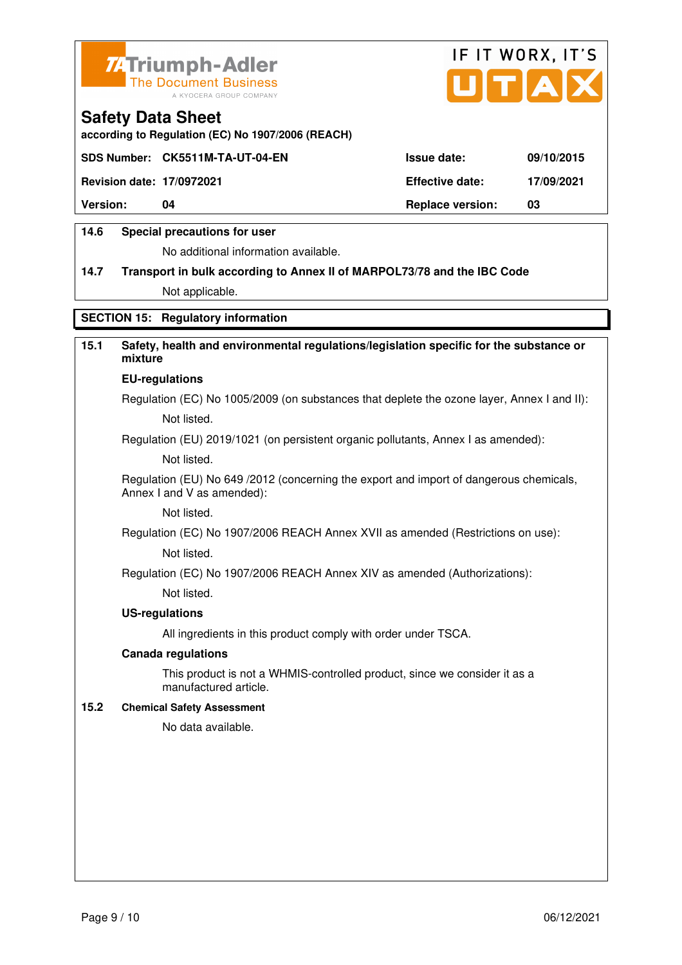



**according to Regulation (EC) No 1907/2006 (REACH)**

|                                  | SDS Number: CK5511M-TA-UT-04-EN | <b>Issue date:</b>      | 09/10/2015 |
|----------------------------------|---------------------------------|-------------------------|------------|
| <b>Revision date: 17/0972021</b> |                                 | <b>Effective date:</b>  | 17/09/2021 |
| <b>Version:</b>                  | 04                              | <b>Replace version:</b> | 03         |
|                                  |                                 |                         |            |

## **14.6 Special precautions for user**

No additional information available.

# **14.7 Transport in bulk according to Annex II of MARPOL73/78 and the IBC Code**

Not applicable.

## **SECTION 15: Regulatory information**

## **15.1 Safety, health and environmental regulations/legislation specific for the substance or mixture**

#### **EU-regulations**

Regulation (EC) No 1005/2009 (on substances that deplete the ozone layer, Annex I and II): Not listed.

Regulation (EU) 2019/1021 (on persistent organic pollutants, Annex I as amended):

Not listed.

 Regulation (EU) No 649 /2012 (concerning the export and import of dangerous chemicals, Annex I and V as amended):

Not listed.

 Regulation (EC) No 1907/2006 REACH Annex XVII as amended (Restrictions on use): Not listed.

Regulation (EC) No 1907/2006 REACH Annex XIV as amended (Authorizations):

Not listed.

## **US-regulations**

All ingredients in this product comply with order under TSCA.

#### **Canada regulations**

 This product is not a WHMIS-controlled product, since we consider it as a manufactured article.

### **15.2 Chemical Safety Assessment**

No data available.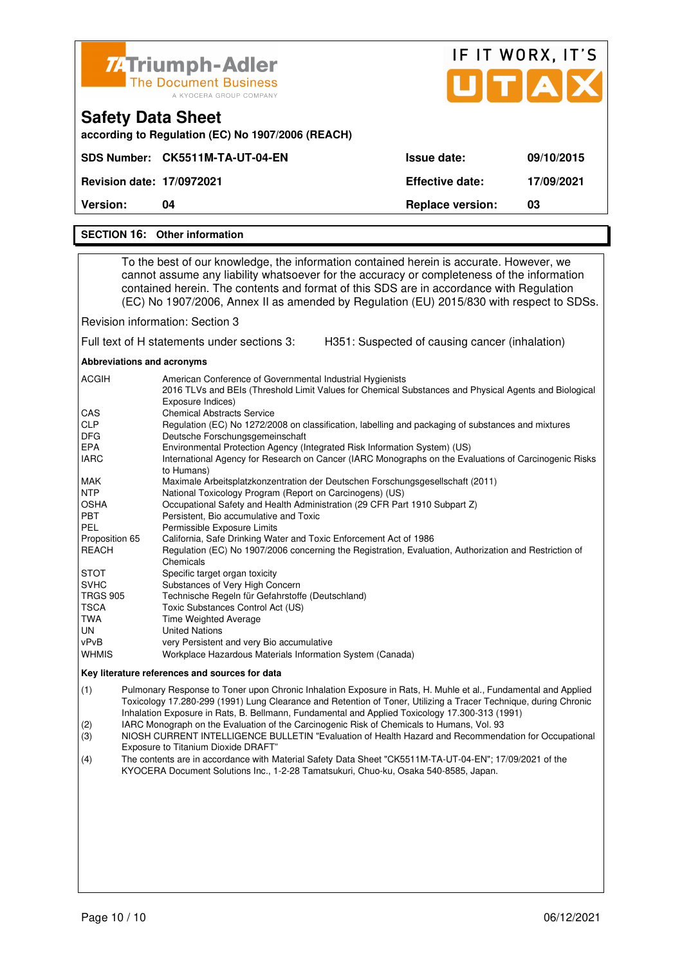| <b>74 Triumph-Adler</b><br><b>The Document Business</b><br>A KYOCERA GROUP COMPANY |                         | IF IT WORX, IT'S<br>UTAX |
|------------------------------------------------------------------------------------|-------------------------|--------------------------|
| <b>Safety Data Sheet</b><br>according to Regulation (EC) No 1907/2006 (REACH)      |                         |                          |
| SDS Number: CK5511M-TA-UT-04-EN                                                    | Issue date:             | 09/10/2015               |
| <b>Revision date: 17/0972021</b>                                                   | <b>Effective date:</b>  | 17/09/2021               |
| Version:<br>04                                                                     | <b>Replace version:</b> | 03                       |
| <b>SECTION 16: Other information</b>                                               |                         |                          |

 To the best of our knowledge, the information contained herein is accurate. However, we cannot assume any liability whatsoever for the accuracy or completeness of the information contained herein. The contents and format of this SDS are in accordance with Regulation (EC) No 1907/2006, Annex II as amended by Regulation (EU) 2015/830 with respect to SDSs.

Revision information: Section 3

Full text of H statements under sections 3: H351: Suspected of causing cancer (inhalation)

**Abbreviations and acronyms** 

| <b>ACGIH</b>    | American Conference of Governmental Industrial Hygienists                                                                  |
|-----------------|----------------------------------------------------------------------------------------------------------------------------|
|                 | 2016 TLVs and BEIs (Threshold Limit Values for Chemical Substances and Physical Agents and Biological<br>Exposure Indices) |
| <b>CAS</b>      | <b>Chemical Abstracts Service</b>                                                                                          |
| <b>CLP</b>      | Regulation (EC) No 1272/2008 on classification, labelling and packaging of substances and mixtures                         |
| <b>DFG</b>      | Deutsche Forschungsgemeinschaft                                                                                            |
| <b>EPA</b>      | Environmental Protection Agency (Integrated Risk Information System) (US)                                                  |
| <b>IARC</b>     | International Agency for Research on Cancer (IARC Monographs on the Evaluations of Carcinogenic Risks<br>to Humans)        |
| <b>MAK</b>      | Maximale Arbeitsplatzkonzentration der Deutschen Forschungsgesellschaft (2011)                                             |
| <b>NTP</b>      | National Toxicology Program (Report on Carcinogens) (US)                                                                   |
| <b>OSHA</b>     | Occupational Safety and Health Administration (29 CFR Part 1910 Subpart Z)                                                 |
| <b>PBT</b>      | Persistent, Bio accumulative and Toxic                                                                                     |
| <b>PEL</b>      | Permissible Exposure Limits                                                                                                |
| Proposition 65  | California, Safe Drinking Water and Toxic Enforcement Act of 1986                                                          |
| <b>REACH</b>    | Regulation (EC) No 1907/2006 concerning the Registration, Evaluation, Authorization and Restriction of                     |
|                 | Chemicals                                                                                                                  |
| <b>STOT</b>     | Specific target organ toxicity                                                                                             |
| <b>SVHC</b>     | Substances of Very High Concern                                                                                            |
| <b>TRGS 905</b> | Technische Regeln für Gefahrstoffe (Deutschland)                                                                           |
| <b>TSCA</b>     | Toxic Substances Control Act (US)                                                                                          |
| TWA             | <b>Time Weighted Average</b>                                                                                               |
| UN.             | <b>United Nations</b>                                                                                                      |
| vPvB            | very Persistent and very Bio accumulative                                                                                  |
| <b>WHMIS</b>    | Workplace Hazardous Materials Information System (Canada)                                                                  |

#### **Key literature references and sources for data**

(1) Pulmonary Response to Toner upon Chronic Inhalation Exposure in Rats, H. Muhle et al., Fundamental and Applied Toxicology 17.280-299 (1991) Lung Clearance and Retention of Toner, Utilizing a Tracer Technique, during Chronic Inhalation Exposure in Rats, B. Bellmann, Fundamental and Applied Toxicology 17.300-313 (1991)

(2) IARC Monograph on the Evaluation of the Carcinogenic Risk of Chemicals to Humans, Vol. 93

(3) NIOSH CURRENT INTELLIGENCE BULLETIN "Evaluation of Health Hazard and Recommendation for Occupational Exposure to Titanium Dioxide DRAFT"

(4) The contents are in accordance with Material Safety Data Sheet "CK5511M-TA-UT-04-EN"; 17/09/2021 of the KYOCERA Document Solutions Inc., 1-2-28 Tamatsukuri, Chuo-ku, Osaka 540-8585, Japan.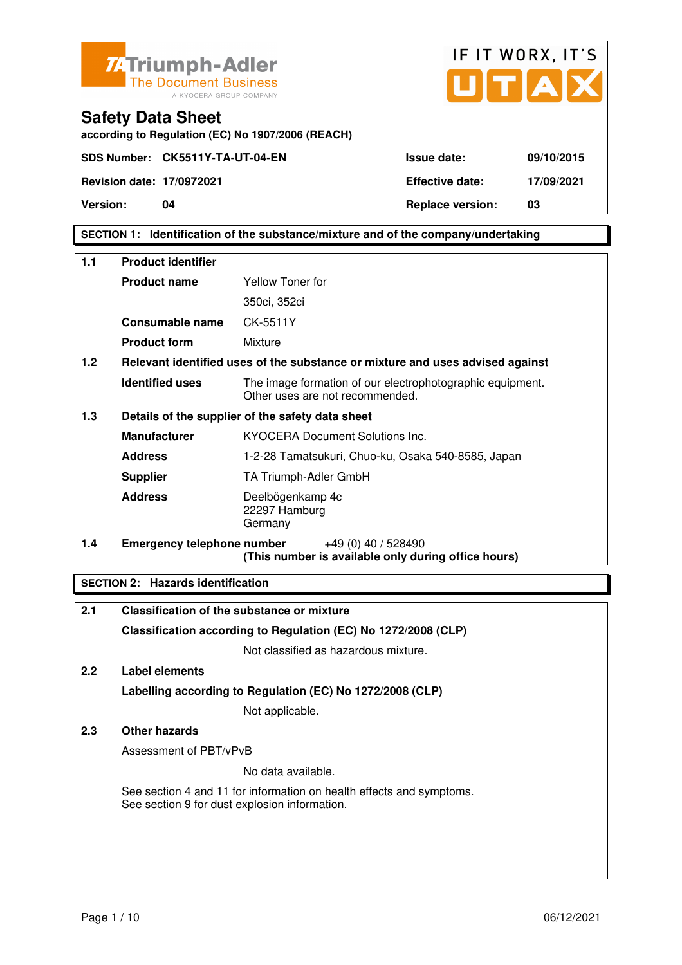

| <b>Issue date:</b>      | 09/10/2015 |
|-------------------------|------------|
| <b>Effective date:</b>  | 17/09/2021 |
| <b>Replace version:</b> | 03         |

IF IT WORX, IT'S

**according to Regulation (EC) No 1907/2006 (REACH)**

**SDS Number: CK5511Y-TA-UT-04-EN** 

**Revision date: 17/0972021** 

Version: 04

## **SECTION 1: Identification of the substance/mixture and of the company/undertaking**

| 1.1 | <b>Product identifier</b>         |                                                                                              |  |
|-----|-----------------------------------|----------------------------------------------------------------------------------------------|--|
|     | <b>Product name</b>               | <b>Yellow Toner for</b>                                                                      |  |
|     |                                   | 350ci, 352ci                                                                                 |  |
|     | Consumable name                   | CK-5511Y                                                                                     |  |
|     | <b>Product form</b>               | Mixture                                                                                      |  |
| 1.2 |                                   | Relevant identified uses of the substance or mixture and uses advised against                |  |
|     | <b>Identified uses</b>            | The image formation of our electrophotographic equipment.<br>Other uses are not recommended. |  |
| 1.3 |                                   | Details of the supplier of the safety data sheet                                             |  |
|     | <b>Manufacturer</b>               | <b>KYOCERA Document Solutions Inc.</b>                                                       |  |
|     | <b>Address</b>                    | 1-2-28 Tamatsukuri, Chuo-ku, Osaka 540-8585, Japan                                           |  |
|     | <b>Supplier</b>                   | TA Triumph-Adler GmbH                                                                        |  |
|     | <b>Address</b>                    | Deelbögenkamp 4c<br>22297 Hamburg<br>Germany                                                 |  |
| 1.4 | <b>Emergency telephone number</b> | $+49(0)$ 40 / 528490<br>(This number is available only during office hours)                  |  |

## **SECTION 2: Hazards identification**

| 2.1           | Classification of the substance or mixture                                                                            |
|---------------|-----------------------------------------------------------------------------------------------------------------------|
|               | Classification according to Regulation (EC) No 1272/2008 (CLP)                                                        |
|               | Not classified as hazardous mixture.                                                                                  |
| $2.2^{\circ}$ | Label elements                                                                                                        |
|               | Labelling according to Regulation (EC) No 1272/2008 (CLP)                                                             |
|               | Not applicable.                                                                                                       |
| 2.3           | Other hazards                                                                                                         |
|               | Assessment of PBT/vPvB                                                                                                |
|               | No data available.                                                                                                    |
|               | See section 4 and 11 for information on health effects and symptoms.<br>See section 9 for dust explosion information. |
|               |                                                                                                                       |
|               |                                                                                                                       |
|               |                                                                                                                       |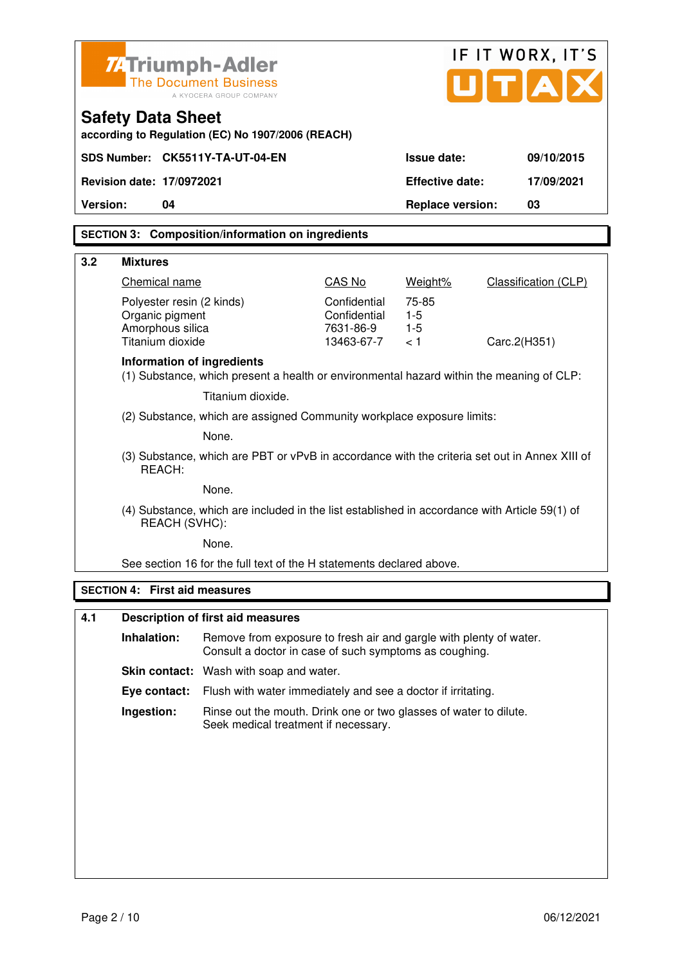|                 |                                                                                                                |                                                                                                                              |                           |                         | IF IT WORX, IT'S            |
|-----------------|----------------------------------------------------------------------------------------------------------------|------------------------------------------------------------------------------------------------------------------------------|---------------------------|-------------------------|-----------------------------|
|                 | <b>74 Triumph-Adler</b>                                                                                        | <b>The Document Business</b><br>A KYOCERA GROUP COMPANY                                                                      |                           |                         | JITIA                       |
|                 | <b>Safety Data Sheet</b>                                                                                       | according to Regulation (EC) No 1907/2006 (REACH)                                                                            |                           |                         |                             |
|                 |                                                                                                                | SDS Number: CK5511Y-TA-UT-04-EN                                                                                              |                           | Issue date:             | 09/10/2015                  |
|                 | Revision date: 17/0972021                                                                                      |                                                                                                                              |                           | <b>Effective date:</b>  | 17/09/2021                  |
| <b>Version:</b> | 04                                                                                                             |                                                                                                                              |                           | <b>Replace version:</b> | 03                          |
|                 |                                                                                                                | SECTION 3: Composition/information on ingredients                                                                            |                           |                         |                             |
| 3.2             | <b>Mixtures</b>                                                                                                |                                                                                                                              |                           |                         |                             |
|                 | Chemical name                                                                                                  |                                                                                                                              | CAS No                    | Weight%                 | <b>Classification (CLP)</b> |
|                 | Polyester resin (2 kinds)                                                                                      |                                                                                                                              | Confidential              | 75-85                   |                             |
|                 | Organic pigment<br>Amorphous silica                                                                            |                                                                                                                              | Confidential<br>7631-86-9 | $1-5$<br>$1 - 5$        |                             |
|                 | Titanium dioxide                                                                                               |                                                                                                                              | 13463-67-7                | < 1                     | Carc.2(H351)                |
|                 | Information of ingredients                                                                                     | (1) Substance, which present a health or environmental hazard within the meaning of CLP:                                     |                           |                         |                             |
|                 |                                                                                                                | Titanium dioxide.                                                                                                            |                           |                         |                             |
|                 |                                                                                                                | (2) Substance, which are assigned Community workplace exposure limits:                                                       |                           |                         |                             |
|                 |                                                                                                                | None.                                                                                                                        |                           |                         |                             |
|                 | REACH:                                                                                                         | (3) Substance, which are PBT or vPvB in accordance with the criteria set out in Annex XIII of                                |                           |                         |                             |
|                 | None.                                                                                                          |                                                                                                                              |                           |                         |                             |
|                 | (4) Substance, which are included in the list established in accordance with Article 59(1) of<br>REACH (SVHC): |                                                                                                                              |                           |                         |                             |
|                 |                                                                                                                | None.                                                                                                                        |                           |                         |                             |
|                 |                                                                                                                | See section 16 for the full text of the H statements declared above.                                                         |                           |                         |                             |
|                 | <b>SECTION 4: First aid measures</b>                                                                           |                                                                                                                              |                           |                         |                             |
| 4.1             |                                                                                                                | <b>Description of first aid measures</b>                                                                                     |                           |                         |                             |
|                 | Inhalation:                                                                                                    | Remove from exposure to fresh air and gargle with plenty of water.<br>Consult a doctor in case of such symptoms as coughing. |                           |                         |                             |
|                 |                                                                                                                | Skin contact: Wash with soap and water.                                                                                      |                           |                         |                             |
|                 | Eye contact:                                                                                                   | Flush with water immediately and see a doctor if irritating.                                                                 |                           |                         |                             |
|                 | Ingestion:                                                                                                     | Rinse out the mouth. Drink one or two glasses of water to dilute.<br>Seek medical treatment if necessary.                    |                           |                         |                             |
|                 |                                                                                                                |                                                                                                                              |                           |                         |                             |
|                 |                                                                                                                |                                                                                                                              |                           |                         |                             |
|                 |                                                                                                                |                                                                                                                              |                           |                         |                             |
|                 |                                                                                                                |                                                                                                                              |                           |                         |                             |
|                 |                                                                                                                |                                                                                                                              |                           |                         |                             |
|                 |                                                                                                                |                                                                                                                              |                           |                         |                             |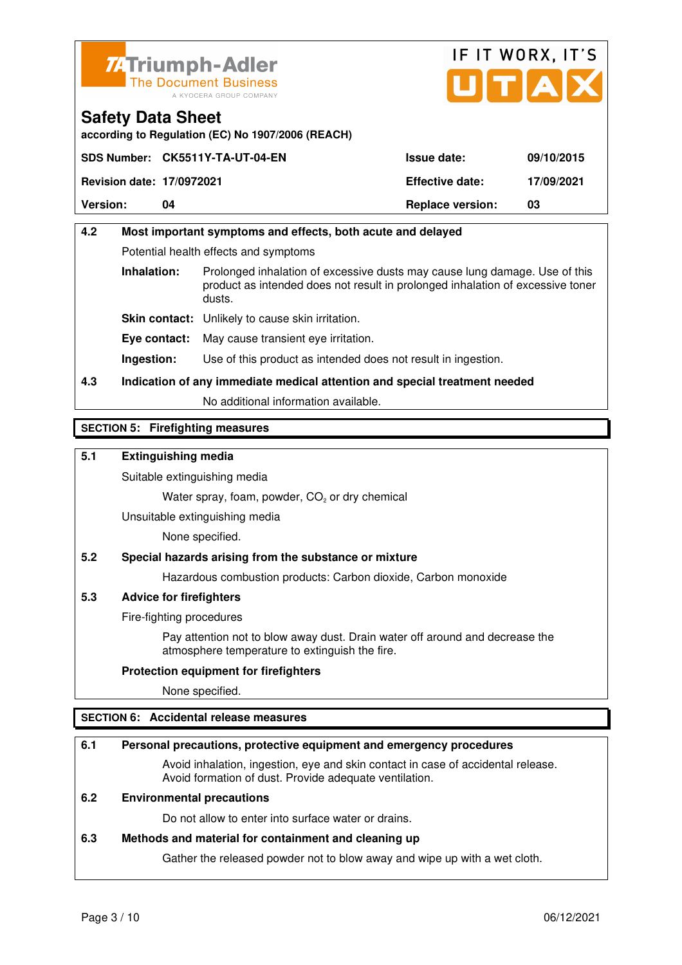



**according to Regulation (EC) No 1907/2006 (REACH)**

|                                  | SDS Number: CK5511Y-TA-UT-04-EN | <b>Issue date:</b>      | 09/10/2015 |
|----------------------------------|---------------------------------|-------------------------|------------|
| <b>Revision date: 17/0972021</b> |                                 | <b>Effective date:</b>  | 17/09/2021 |
| <b>Version:</b>                  | 04                              | <b>Replace version:</b> | 03         |

## **4.2 Most important symptoms and effects, both acute and delayed**  Potential health effects and symptoms **Inhalation:** Prolonged inhalation of excessive dusts may cause lung damage. Use of this product as intended does not result in prolonged inhalation of excessive toner dusts. **Skin contact:** Unlikely to cause skin irritation. **Eye contact:** May cause transient eye irritation. **Ingestion:** Use of this product as intended does not result in ingestion.

**4.3 Indication of any immediate medical attention and special treatment needed** 

No additional information available.

## **SECTION 5: Firefighting measures**

## **5.1 Extinguishing media**

Suitable extinguishing media

Water spray, foam, powder,  $CO<sub>2</sub>$  or dry chemical

Unsuitable extinguishing media

None specified.

## **5.2 Special hazards arising from the substance or mixture**

Hazardous combustion products: Carbon dioxide, Carbon monoxide

## **5.3 Advice for firefighters**

Fire-fighting procedures

 Pay attention not to blow away dust. Drain water off around and decrease the atmosphere temperature to extinguish the fire.

## **Protection equipment for firefighters**

None specified.

## **SECTION 6: Accidental release measures**

## **6.1 Personal precautions, protective equipment and emergency procedures**

 Avoid inhalation, ingestion, eye and skin contact in case of accidental release. Avoid formation of dust. Provide adequate ventilation.

## **6.2 Environmental precautions**

Do not allow to enter into surface water or drains.

#### **6.3 Methods and material for containment and cleaning up**

Gather the released powder not to blow away and wipe up with a wet cloth.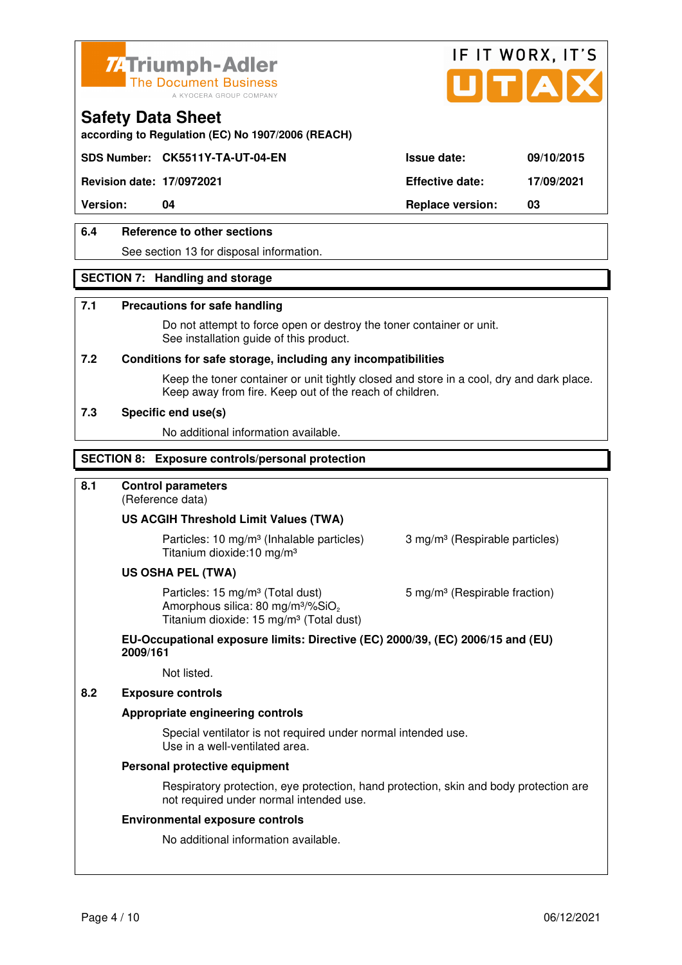



**according to Regulation (EC) No 1907/2006 (REACH)**

## **SDS Number: CK5511Y-TA-UT-04-EN Issue date: 09/10/2015**

**Revision date: 17/0972021 Effective date: 17/09/2021** 

**Version: 04 Replace version: 03** 

## **6.4 Reference to other sections**

See section 13 for disposal information.

## **SECTION 7: Handling and storage**

#### **7.1 Precautions for safe handling**

 Do not attempt to force open or destroy the toner container or unit. See installation guide of this product.

#### **7.2 Conditions for safe storage, including any incompatibilities**

Keep the toner container or unit tightly closed and store in a cool, dry and dark place. Keep away from fire. Keep out of the reach of children.

#### **7.3 Specific end use(s)**

No additional information available.

#### **SECTION 8: Exposure controls/personal protection**

## **8.1 Control parameters**

(Reference data)

#### **US ACGIH Threshold Limit Values (TWA)**

**Particles: 10 mg/m<sup>3</sup> (Inhalable particles) 3 mg/m<sup>3</sup> (Respirable particles)** Titanium dioxide:10 mg/m³

#### **US OSHA PEL (TWA)**

Particles: 15 mg/m<sup>3</sup> (Total dust) 5 mg/m<sup>3</sup> (Respirable fraction) Amorphous silica:  $80 \text{ mg/m}^3/\% \text{SiO}_2$ Titanium dioxide: 15 mg/m<sup>3</sup> (Total dust)

#### **EU-Occupational exposure limits: Directive (EC) 2000/39, (EC) 2006/15 and (EU) 2009/161**

Not listed.

### **8.2 Exposure controls**

#### **Appropriate engineering controls**

 Special ventilator is not required under normal intended use. Use in a well-ventilated area.

#### **Personal protective equipment**

 Respiratory protection, eye protection, hand protection, skin and body protection are not required under normal intended use.

#### **Environmental exposure controls**

No additional information available.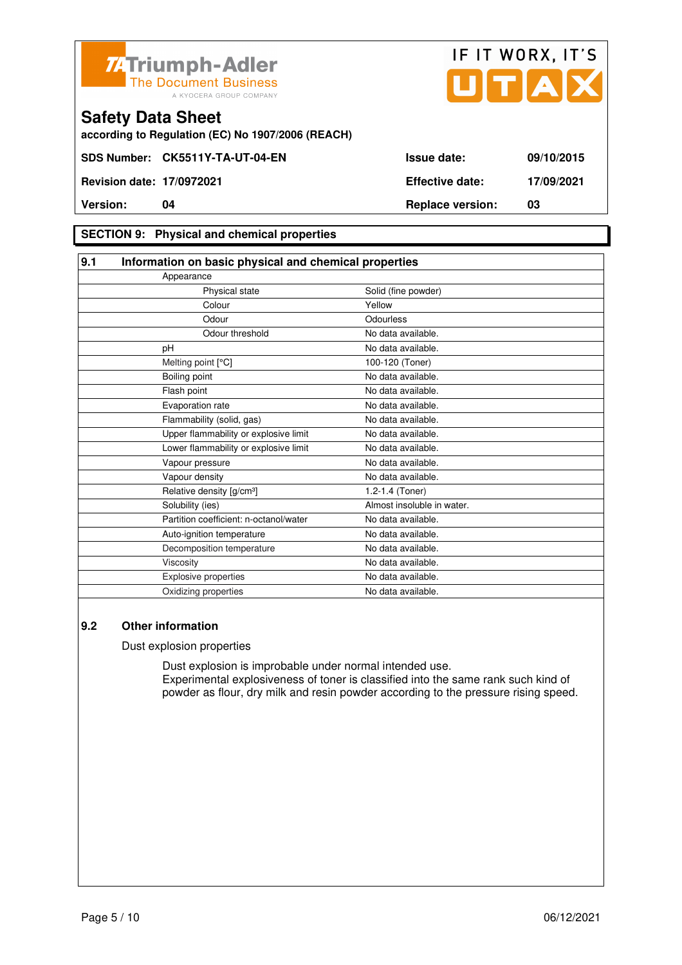



**according to Regulation (EC) No 1907/2006 (REACH)**

## **SECTION 9: Physical and chemical properties**

| 9.1 | Information on basic physical and chemical properties |                            |
|-----|-------------------------------------------------------|----------------------------|
|     | Appearance                                            |                            |
|     | Physical state                                        | Solid (fine powder)        |
|     | Colour                                                | Yellow                     |
|     | Odour                                                 | Odourless                  |
|     | Odour threshold                                       | No data available.         |
|     | pH                                                    | No data available.         |
|     | Melting point [°C]                                    | 100-120 (Toner)            |
|     | Boiling point                                         | No data available.         |
|     | Flash point                                           | No data available.         |
|     | Evaporation rate                                      | No data available.         |
|     | Flammability (solid, gas)                             | No data available.         |
|     | Upper flammability or explosive limit                 | No data available.         |
|     | Lower flammability or explosive limit                 | No data available.         |
|     | Vapour pressure                                       | No data available.         |
|     | Vapour density                                        | No data available.         |
|     | Relative density [g/cm <sup>3</sup> ]                 | 1.2-1.4 (Toner)            |
|     | Solubility (ies)                                      | Almost insoluble in water. |
|     | Partition coefficient: n-octanol/water                | No data available.         |
|     | Auto-ignition temperature                             | No data available.         |
|     | Decomposition temperature                             | No data available.         |
|     | Viscosity                                             | No data available.         |
|     | Explosive properties                                  | No data available.         |
|     | Oxidizing properties                                  | No data available.         |

## **9.2 Other information**

Dust explosion properties

 Dust explosion is improbable under normal intended use. Experimental explosiveness of toner is classified into the same rank such kind of powder as flour, dry milk and resin powder according to the pressure rising speed.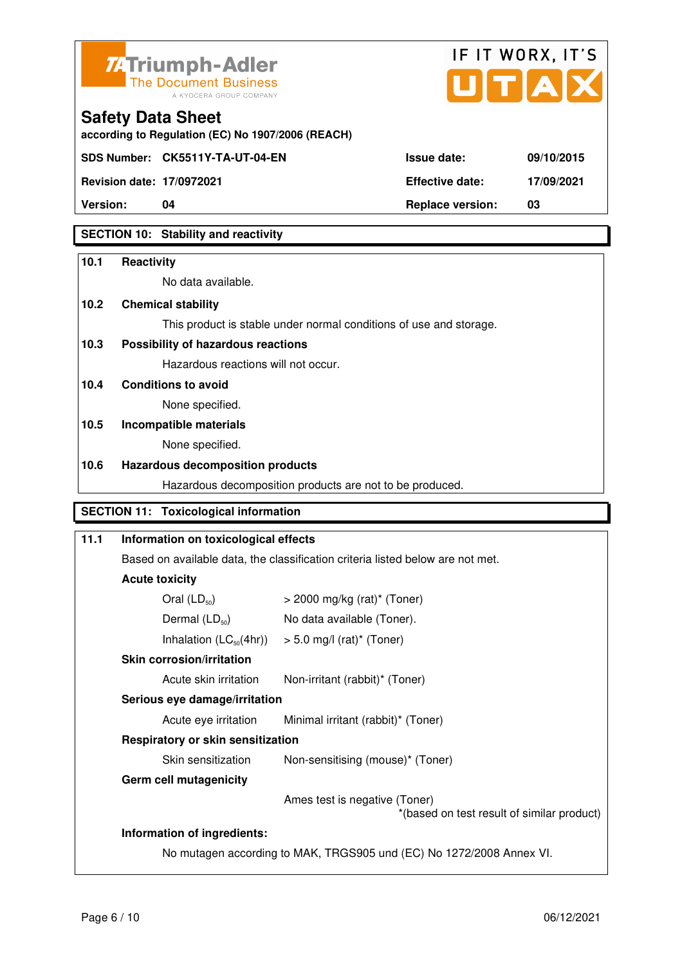



**Revision date: 17/0972021 Effective date: 17/09/2021** 

**Safety Data Sheet** 

| $100101011$ agion $111001$ agents | $-100$                  | .  |
|-----------------------------------|-------------------------|----|
| <b>Version:</b>                   | <b>Replace version:</b> | 03 |

## **SECTION 10: Stability and reactivity**

## **10.1 Reactivity**

No data available.

**according to Regulation (EC) No 1907/2006 (REACH)**

## **10.2 Chemical stability**

This product is stable under normal conditions of use and storage.

## **10.3 Possibility of hazardous reactions**

Hazardous reactions will not occur.

## **10.4 Conditions to avoid**

None specified.

## **10.5 Incompatible materials**

None specified.

## **10.6 Hazardous decomposition products**

Hazardous decomposition products are not to be produced.

## **SECTION 11: Toxicological information**

## **11.1 Information on toxicological effects**  Based on available data, the classification criteria listed below are not met. **Acute toxicity**  Oral  $(LD_{50})$   $>$  2000 mg/kg (rat)<sup>\*</sup> (Toner) Dermal  $(LD_{50})$  No data available (Toner). Inhalation  $(LC_{50}(4hr))$  > 5.0 mg/l (rat)\* (Toner)  **Skin corrosion/irritation** Acute skin irritation Non-irritant (rabbit)\* (Toner)  **Serious eye damage/irritation** Acute eye irritation Minimal irritant (rabbit)\* (Toner)  **Respiratory or skin sensitization**  Skin sensitization Mon-sensitising (mouse)\* (Toner)  **Germ cell mutagenicity** Ames test is negative (Toner) \*(based on test result of similar product) **Information of ingredients:**  No mutagen according to MAK, TRGS905 und (EC) No 1272/2008 Annex VI.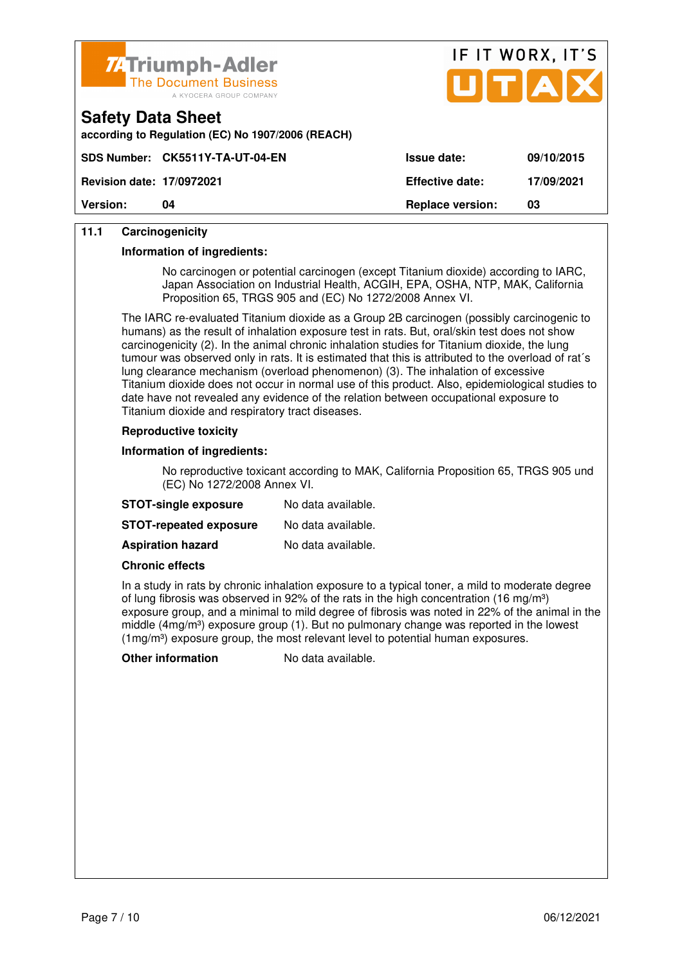



| according to Regulation (EC) No 1907/2006 (REACH) |  |  |
|---------------------------------------------------|--|--|
|                                                   |  |  |

| <b>Version:</b>                  | 04                              | <b>Replace version:</b> | 03         |
|----------------------------------|---------------------------------|-------------------------|------------|
| <b>Revision date: 17/0972021</b> |                                 | <b>Effective date:</b>  | 17/09/2021 |
|                                  | SDS Number: CK5511Y-TA-UT-04-EN | <b>Issue date:</b>      | 09/10/2015 |

## **11.1 Carcinogenicity**

**Safety Data Sheet** 

#### **Information of ingredients:**

 No carcinogen or potential carcinogen (except Titanium dioxide) according to IARC, Japan Association on Industrial Health, ACGIH, EPA, OSHA, NTP, MAK, California Proposition 65, TRGS 905 and (EC) No 1272/2008 Annex VI.

 The IARC re-evaluated Titanium dioxide as a Group 2B carcinogen (possibly carcinogenic to humans) as the result of inhalation exposure test in rats. But, oral/skin test does not show carcinogenicity (2). In the animal chronic inhalation studies for Titanium dioxide, the lung tumour was observed only in rats. It is estimated that this is attributed to the overload of rat´s lung clearance mechanism (overload phenomenon) (3). The inhalation of excessive Titanium dioxide does not occur in normal use of this product. Also, epidemiological studies to date have not revealed any evidence of the relation between occupational exposure to Titanium dioxide and respiratory tract diseases.

## **Reproductive toxicity**

#### **Information of ingredients:**

 No reproductive toxicant according to MAK, California Proposition 65, TRGS 905 und (EC) No 1272/2008 Annex VI.

| <b>STOT-single exposure</b>   | No data available. |
|-------------------------------|--------------------|
| <b>STOT-repeated exposure</b> | No data available. |
| <b>Aspiration hazard</b>      | No data available. |

#### **Chronic effects**

 In a study in rats by chronic inhalation exposure to a typical toner, a mild to moderate degree of lung fibrosis was observed in 92% of the rats in the high concentration (16 mg/m<sup>3</sup>) exposure group, and a minimal to mild degree of fibrosis was noted in 22% of the animal in the middle (4mg/m<sup>3</sup>) exposure group (1). But no pulmonary change was reported in the lowest  $(1 \text{mg/m}^3)$  exposure group, the most relevant level to potential human exposures.

**Other information** No data available.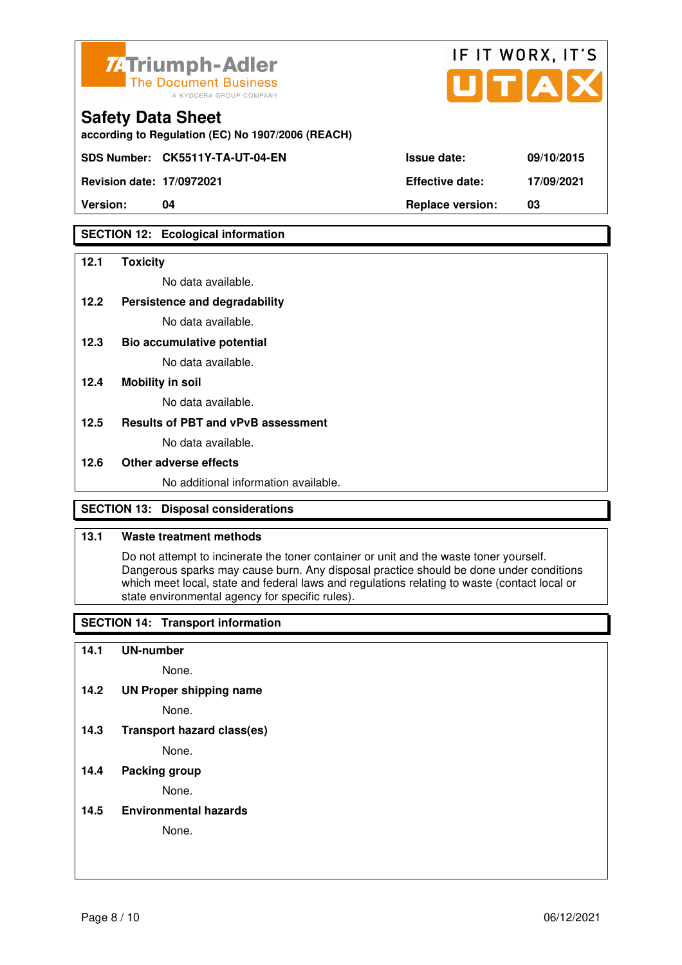

| <b>74Triumph-Adler</b><br>The Document Business<br>A KYOCERA GROUP COMPANY    |                        | IF II WURA, II J<br>UTAX |
|-------------------------------------------------------------------------------|------------------------|--------------------------|
| <b>Safety Data Sheet</b><br>according to Regulation (EC) No 1907/2006 (REACH) |                        |                          |
| SDS Number: CK5511Y-TA-UT-04-EN                                               | <b>Issue date:</b>     | 09/10/2015               |
| <b>Revision date: 17/0972021</b>                                              | <b>Effective date:</b> | 17/09/2021               |

 $ITIT$  WODY  $IT'C$ 

**Version: 04 Replace version: 03** 

## **SECTION 12: Ecological information**

### **12.1 Toxicity**

No data available.

#### **12.2 Persistence and degradability**

No data available.

**12.3 Bio accumulative potential** 

No data available.

### **12.4 Mobility in soil**

No data available.

## **12.5 Results of PBT and vPvB assessment**

No data available.

#### **12.6 Other adverse effects**

No additional information available.

## **SECTION 13: Disposal considerations**

## **13.1 Waste treatment methods**

 Do not attempt to incinerate the toner container or unit and the waste toner yourself. Dangerous sparks may cause burn. Any disposal practice should be done under conditions which meet local, state and federal laws and regulations relating to waste (contact local or state environmental agency for specific rules).

## **SECTION 14: Transport information**

#### **14.1 UN-number**

None.

**14.2 UN Proper shipping name** 

None.

**14.3 Transport hazard class(es)** 

None.

## **14.4 Packing group**

None.

#### **14.5 Environmental hazards**

None.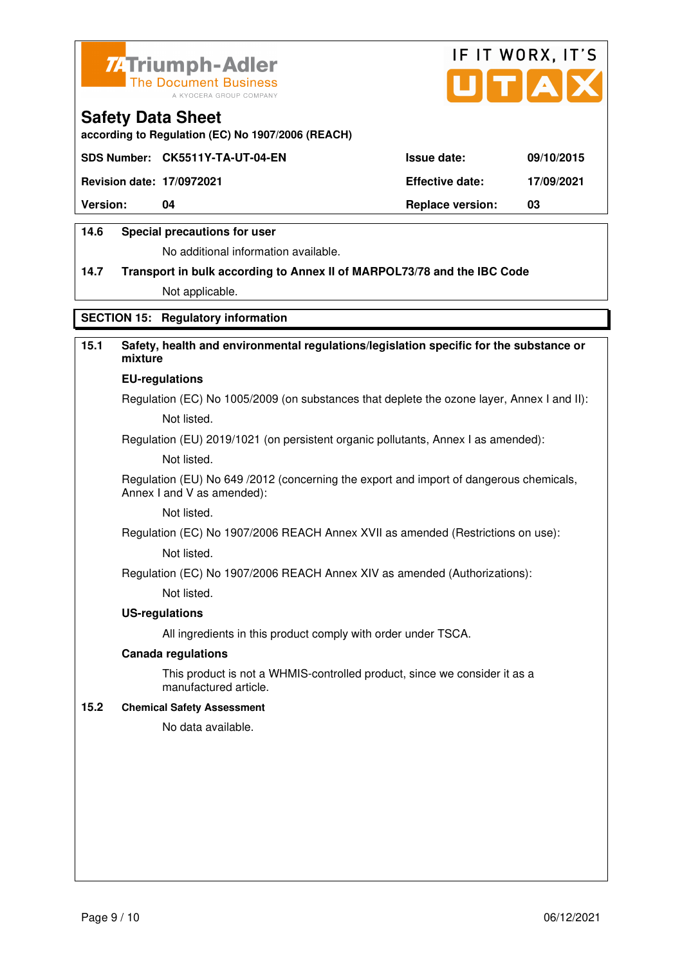



**according to Regulation (EC) No 1907/2006 (REACH)**

|                                  | SDS Number: CK5511Y-TA-UT-04-EN | <b>Issue date:</b>      | 09/10/2015 |
|----------------------------------|---------------------------------|-------------------------|------------|
| <b>Revision date: 17/0972021</b> |                                 | <b>Effective date:</b>  | 17/09/2021 |
| <b>Version:</b>                  | 04                              | <b>Replace version:</b> | 03         |
|                                  |                                 |                         |            |

## **14.6 Special precautions for user**

No additional information available.

## **14.7 Transport in bulk according to Annex II of MARPOL73/78 and the IBC Code** Not applicable.

**SECTION 15: Regulatory information** 

## **15.1 Safety, health and environmental regulations/legislation specific for the substance or mixture**

#### **EU-regulations**

Regulation (EC) No 1005/2009 (on substances that deplete the ozone layer, Annex I and II): Not listed.

Regulation (EU) 2019/1021 (on persistent organic pollutants, Annex I as amended):

Not listed.

 Regulation (EU) No 649 /2012 (concerning the export and import of dangerous chemicals, Annex I and V as amended):

Not listed.

 Regulation (EC) No 1907/2006 REACH Annex XVII as amended (Restrictions on use): Not listed.

Regulation (EC) No 1907/2006 REACH Annex XIV as amended (Authorizations):

Not listed.

#### **US-regulations**

All ingredients in this product comply with order under TSCA.

#### **Canada regulations**

 This product is not a WHMIS-controlled product, since we consider it as a manufactured article.

### **15.2 Chemical Safety Assessment**

No data available.